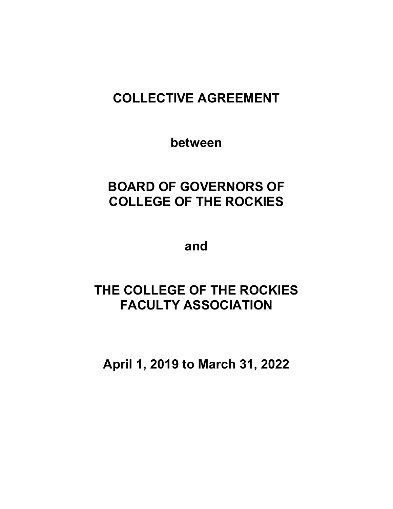# **COLLECTIVE AGREEMENT**

**between**

# **BOARD OF GOVERNORS OF COLLEGE OF THE ROCKIES**

**and**

# **THE COLLEGE OF THE ROCKIES FACULTY ASSOCIATION**

**April 1, 2019 to March 31, 2022**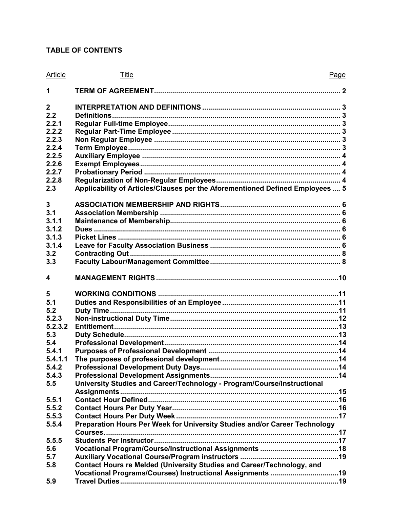# **TABLE OF CONTENTS**

| Article          | Title                                                                         | Page |
|------------------|-------------------------------------------------------------------------------|------|
| 1                |                                                                               |      |
| $\boldsymbol{2}$ |                                                                               |      |
| 2.2              |                                                                               |      |
| 2.2.1            |                                                                               |      |
| 2.2.2            |                                                                               |      |
| 2.2.3            |                                                                               |      |
| 2.2.4            |                                                                               |      |
| 2.2.5            |                                                                               |      |
| 2.2.6            |                                                                               |      |
| 2.2.7            |                                                                               |      |
| 2.2.8            |                                                                               |      |
| 2.3              | Applicability of Articles/Clauses per the Aforementioned Defined Employees  5 |      |
| 3                |                                                                               |      |
| 3.1              |                                                                               |      |
| 3.1.1            |                                                                               |      |
| 3.1.2            |                                                                               |      |
| 3.1.3            |                                                                               |      |
| 3.1.4            |                                                                               |      |
| 3.2              |                                                                               |      |
| 3.3              |                                                                               |      |
| 4                |                                                                               |      |
| 5                |                                                                               |      |
| 5.1              |                                                                               |      |
| 5.2              |                                                                               |      |
| 5.2.3            |                                                                               |      |
| 5.2.3.2          |                                                                               |      |
| 5.3              |                                                                               |      |
| 5.4              |                                                                               |      |
| 5.4.1            |                                                                               |      |
| 5.4.1.1          |                                                                               |      |
| 5.4.2            |                                                                               |      |
| 5.4.3            |                                                                               |      |
| 5.5              | University Studies and Career/Technology - Program/Course/Instructional       |      |
|                  |                                                                               |      |
| 5.5.1            |                                                                               |      |
| 5.5.2            |                                                                               |      |
| 5.5.3            |                                                                               |      |
| 5.5.4            | Preparation Hours Per Week for University Studies and/or Career Technology    |      |
|                  |                                                                               |      |
| 5.5.5            |                                                                               |      |
| 5.6              |                                                                               |      |
| 5.7              |                                                                               |      |
| 5.8              | Contact Hours re Melded (University Studies and Career/Technology, and        |      |
|                  | Vocational Programs/Courses) Instructional Assignments 19                     |      |
| 5.9              |                                                                               |      |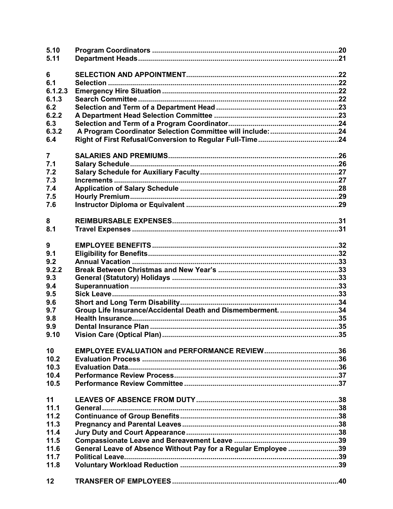| 5.10<br>5.11   |                                                                |  |
|----------------|----------------------------------------------------------------|--|
| 6              |                                                                |  |
| 6.1            |                                                                |  |
| 6.1.2.3        |                                                                |  |
| 6.1.3          |                                                                |  |
| 6.2            |                                                                |  |
| 6.2.2          |                                                                |  |
| 6.3            |                                                                |  |
| 6.3.2          |                                                                |  |
| 6.4            |                                                                |  |
|                |                                                                |  |
| $\overline{7}$ |                                                                |  |
| 7.1            |                                                                |  |
| 7.2            |                                                                |  |
| 7.3            |                                                                |  |
| 7.4            |                                                                |  |
| 7.5            |                                                                |  |
| 7.6            |                                                                |  |
|                |                                                                |  |
| 8              |                                                                |  |
| 8.1            |                                                                |  |
| 9              |                                                                |  |
| 9.1            |                                                                |  |
|                |                                                                |  |
| 9.2            |                                                                |  |
| 9.2.2          |                                                                |  |
| 9.3            |                                                                |  |
| 9.4<br>9.5     |                                                                |  |
| 9.6            |                                                                |  |
| 9.7            | Group Life Insurance/Accidental Death and Dismemberment. 34    |  |
| 9.8            |                                                                |  |
|                |                                                                |  |
| 9.9<br>9.10    |                                                                |  |
|                |                                                                |  |
| 10             |                                                                |  |
| 10.2           |                                                                |  |
| 10.3           |                                                                |  |
| 10.4           |                                                                |  |
| 10.5           |                                                                |  |
|                |                                                                |  |
| 11             |                                                                |  |
| 11.1           |                                                                |  |
| 11.2           |                                                                |  |
| 11.3           |                                                                |  |
| 11.4           |                                                                |  |
| 11.5           |                                                                |  |
| 11.6           | General Leave of Absence Without Pay for a Regular Employee 39 |  |
| 11.7           |                                                                |  |
| 11.8           |                                                                |  |
| 12             |                                                                |  |
|                |                                                                |  |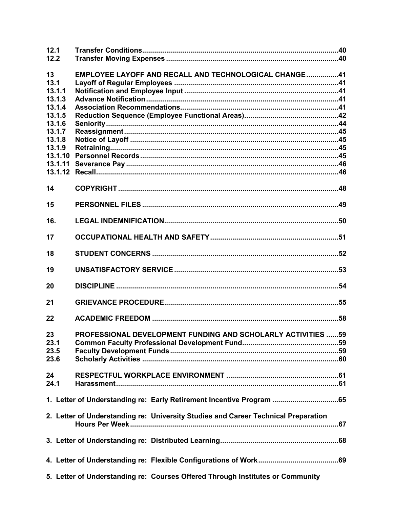| 12.1<br>12.2      |                                                                                    |  |
|-------------------|------------------------------------------------------------------------------------|--|
| 13<br>13.1        | EMPLOYEE LAYOFF AND RECALL AND TECHNOLOGICAL CHANGE41                              |  |
| 13.1.1            |                                                                                    |  |
| 13.1.3<br>13.1.4  |                                                                                    |  |
| 13.1.5            |                                                                                    |  |
| 13.1.6            |                                                                                    |  |
| 13.1.7            |                                                                                    |  |
| 13.1.8            |                                                                                    |  |
| 13.1.9<br>13.1.10 |                                                                                    |  |
| 13.1.11           |                                                                                    |  |
|                   |                                                                                    |  |
| 14                |                                                                                    |  |
| 15                |                                                                                    |  |
| 16.               |                                                                                    |  |
| 17                |                                                                                    |  |
| 18                |                                                                                    |  |
| 19                |                                                                                    |  |
| 20                |                                                                                    |  |
| 21                |                                                                                    |  |
| 22                |                                                                                    |  |
| 23                | PROFESSIONAL DEVELOPMENT FUNDING AND SCHOLARLY ACTIVITIES 59                       |  |
| 23.1<br>23.5      |                                                                                    |  |
| 23.6              |                                                                                    |  |
| 24                |                                                                                    |  |
| 24.1              |                                                                                    |  |
|                   | 1. Letter of Understanding re: Early Retirement Incentive Program 65               |  |
|                   | 2. Letter of Understanding re: University Studies and Career Technical Preparation |  |
|                   |                                                                                    |  |
|                   |                                                                                    |  |
|                   | 5. Letter of Understanding re: Courses Offered Through Institutes or Community     |  |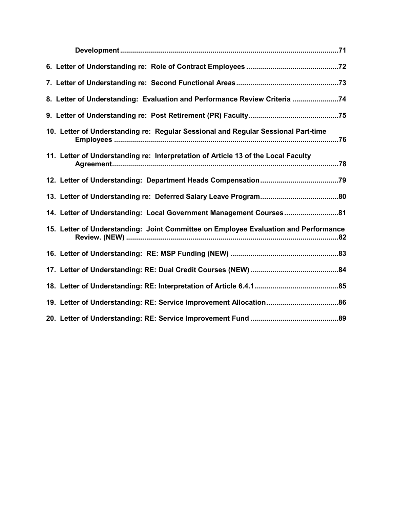| 8. Letter of Understanding: Evaluation and Performance Review Criteria 74           |
|-------------------------------------------------------------------------------------|
|                                                                                     |
| 10. Letter of Understanding re: Regular Sessional and Regular Sessional Part-time   |
| 11. Letter of Understanding re: Interpretation of Article 13 of the Local Faculty   |
|                                                                                     |
|                                                                                     |
| 14. Letter of Understanding: Local Government Management Courses81                  |
| 15. Letter of Understanding: Joint Committee on Employee Evaluation and Performance |
|                                                                                     |
|                                                                                     |
|                                                                                     |
|                                                                                     |
|                                                                                     |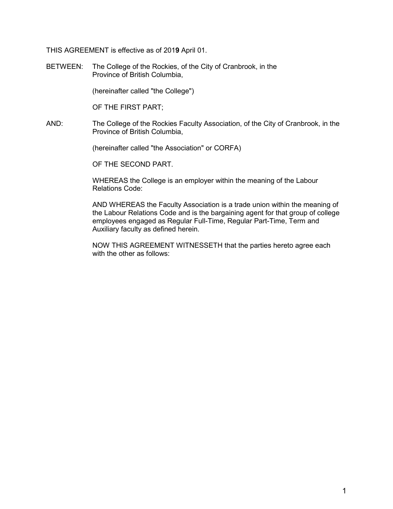THIS AGREEMENT is effective as of 201**9** April 01.

BETWEEN: The College of the Rockies, of the City of Cranbrook, in the Province of British Columbia,

(hereinafter called "the College")

OF THE FIRST PART;

AND: The College of the Rockies Faculty Association, of the City of Cranbrook, in the Province of British Columbia,

(hereinafter called "the Association" or CORFA)

OF THE SECOND PART.

WHEREAS the College is an employer within the meaning of the Labour Relations Code:

AND WHEREAS the Faculty Association is a trade union within the meaning of the Labour Relations Code and is the bargaining agent for that group of college employees engaged as Regular Full-Time, Regular Part-Time, Term and Auxiliary faculty as defined herein.

NOW THIS AGREEMENT WITNESSETH that the parties hereto agree each with the other as follows: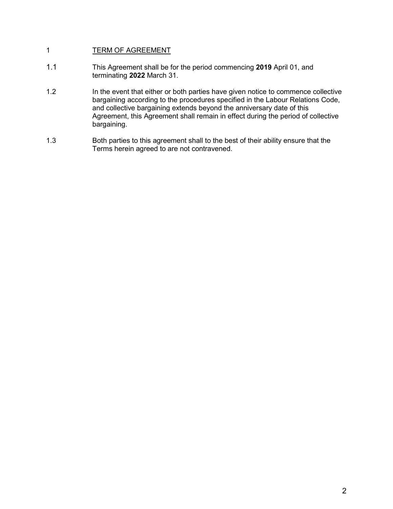# <span id="page-6-0"></span>1 TERM OF AGREEMENT

- 1.1 This Agreement shall be for the period commencing **2019** April 01, and terminating **2022** March 31.
- 1.2 In the event that either or both parties have given notice to commence collective bargaining according to the procedures specified in the Labour Relations Code, and collective bargaining extends beyond the anniversary date of this Agreement, this Agreement shall remain in effect during the period of collective bargaining.
- 1.3 Both parties to this agreement shall to the best of their ability ensure that the Terms herein agreed to are not contravened.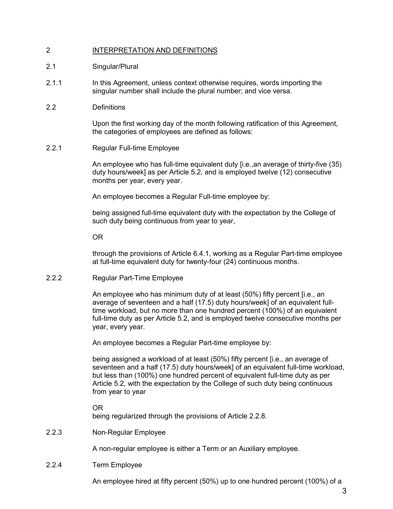# <span id="page-7-0"></span>2 INTERPRETATION AND DEFINITIONS

### 2.1 Singular/Plural

- 2.1.1 In this Agreement, unless context otherwise requires, words importing the singular number shall include the plural number; and vice versa.
- <span id="page-7-1"></span>2.2 Definitions

Upon the first working day of the month following ratification of this Agreement, the categories of employees are defined as follows:

<span id="page-7-2"></span>2.2.1 Regular Full-time Employee

An employee who has full-time equivalent duty [i.e.,an average of thirty-five (35) duty hours/week] as per Article 5.2, and is employed twelve (12) consecutive months per year, every year.

An employee becomes a Regular Full-time employee by:

being assigned full-time equivalent duty with the expectation by the College of such duty being continuous from year to year,

OR

through the provisions of Article 6.4.1, working as a Regular Part-time employee at full-time equivalent duty for twenty-four (24) continuous months.

<span id="page-7-3"></span>2.2.2 Regular Part-Time Employee

An employee who has minimum duty of at least (50%) fifty percent [i.e., an average of seventeen and a half (17.5) duty hours/week] of an equivalent fulltime workload, but no more than one hundred percent (100%) of an equivalent full-time duty as per Article 5.2, and is employed twelve consecutive months per year, every year.

An employee becomes a Regular Part-time employee by:

being assigned a workload of at least (50%) fifty percent [i.e., an average of seventeen and a half (17.5) duty hours/week] of an equivalent full-time workload, but less than (100%) one hundred percent of equivalent full-time duty as per Article 5.2, with the expectation by the College of such duty being continuous from year to year

OR

being regularized through the provisions of Article 2.2.8.

<span id="page-7-4"></span>2.2.3 Non-Regular Employee

A non-regular employee is either a Term or an Auxiliary employee.

<span id="page-7-5"></span>2.2.4 Term Employee

An employee hired at fifty percent (50%) up to one hundred percent (100%) of a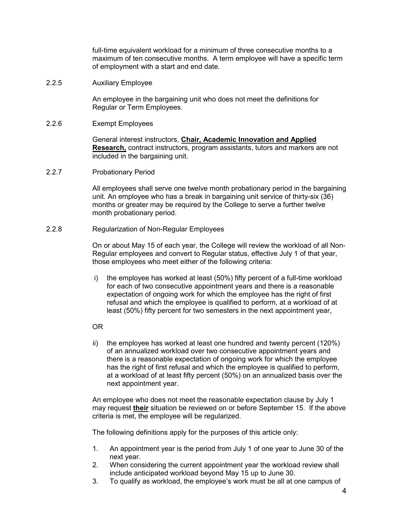full-time equivalent workload for a minimum of three consecutive months to a maximum of ten consecutive months. A term employee will have a specific term of employment with a start and end date.

<span id="page-8-0"></span>2.2.5 Auxiliary Employee

An employee in the bargaining unit who does not meet the definitions for Regular or Term Employees.

<span id="page-8-1"></span>2.2.6 Exempt Employees

General interest instructors, **Chair, Academic Innovation and Applied Research,** contract instructors, program assistants, tutors and markers are not included in the bargaining unit.

<span id="page-8-2"></span>2.2.7 Probationary Period

All employees shall serve one twelve month probationary period in the bargaining unit. An employee who has a break in bargaining unit service of thirty-six (36) months or greater may be required by the College to serve a further twelve month probationary period.

<span id="page-8-3"></span>2.2.8 Regularization of Non-Regular Employees

On or about May 15 of each year, the College will review the workload of all Non-Regular employees and convert to Regular status, effective July 1 of that year, those employees who meet either of the following criteria:

- i) the employee has worked at least (50%) fifty percent of a full-time workload for each of two consecutive appointment years and there is a reasonable expectation of ongoing work for which the employee has the right of first refusal and which the employee is qualified to perform, at a workload of at least (50%) fifty percent for two semesters in the next appointment year,
- OR
- ii) the employee has worked at least one hundred and twenty percent (120%) of an annualized workload over two consecutive appointment years and there is a reasonable expectation of ongoing work for which the employee has the right of first refusal and which the employee is qualified to perform, at a workload of at least fifty percent (50%) on an annualized basis over the next appointment year.

An employee who does not meet the reasonable expectation clause by July 1 may request **their** situation be reviewed on or before September 15. If the above criteria is met, the employee will be regularized.

The following definitions apply for the purposes of this article only:

- 1. An appointment year is the period from July 1 of one year to June 30 of the next year.
- 2. When considering the current appointment year the workload review shall include anticipated workload beyond May 15 up to June 30.
- 3. To qualify as workload, the employee's work must be all at one campus of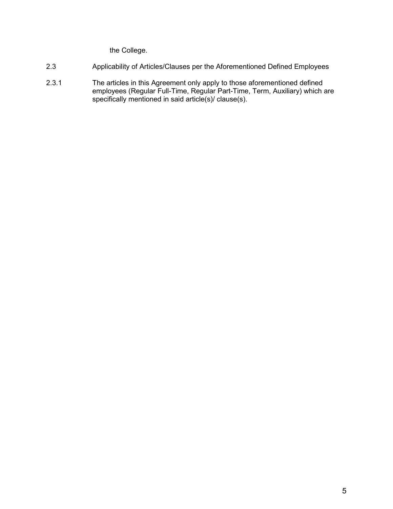the College.

- <span id="page-9-0"></span>2.3 Applicability of Articles/Clauses per the Aforementioned Defined Employees
- 2.3.1 The articles in this Agreement only apply to those aforementioned defined employees (Regular Full-Time, Regular Part-Time, Term, Auxiliary) which are specifically mentioned in said article(s)/ clause(s).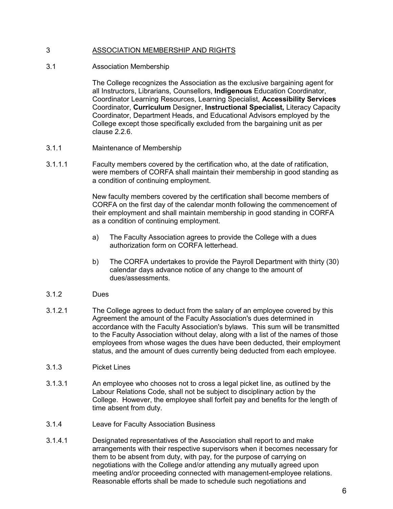# <span id="page-10-0"></span>3 ASSOCIATION MEMBERSHIP AND RIGHTS

## <span id="page-10-1"></span>3.1 Association Membership

The College recognizes the Association as the exclusive bargaining agent for all Instructors, Librarians, Counsellors, **Indigenous** Education Coordinator, Coordinator Learning Resources, Learning Specialist, **Accessibility Services** Coordinator, **Curriculum** Designer, **Instructional Specialist,** Literacy Capacity Coordinator, Department Heads, and Educational Advisors employed by the College except those specifically excluded from the bargaining unit as per clause 2.2.6.

- <span id="page-10-2"></span>3.1.1 Maintenance of Membership
- 3.1.1.1 Faculty members covered by the certification who, at the date of ratification, were members of CORFA shall maintain their membership in good standing as a condition of continuing employment.

New faculty members covered by the certification shall become members of CORFA on the first day of the calendar month following the commencement of their employment and shall maintain membership in good standing in CORFA as a condition of continuing employment.

- a) The Faculty Association agrees to provide the College with a dues authorization form on CORFA letterhead.
- b) The CORFA undertakes to provide the Payroll Department with thirty (30) calendar days advance notice of any change to the amount of dues/assessments.

## <span id="page-10-3"></span>3.1.2 Dues

3.1.2.1 The College agrees to deduct from the salary of an employee covered by this Agreement the amount of the Faculty Association's dues determined in accordance with the Faculty Association's bylaws. This sum will be transmitted to the Faculty Association without delay, along with a list of the names of those employees from whose wages the dues have been deducted, their employment status, and the amount of dues currently being deducted from each employee.

## <span id="page-10-4"></span>3.1.3 Picket Lines

- 3.1.3.1 An employee who chooses not to cross a legal picket line, as outlined by the Labour Relations Code, shall not be subject to disciplinary action by the College. However, the employee shall forfeit pay and benefits for the length of time absent from duty.
- <span id="page-10-5"></span>3.1.4 Leave for Faculty Association Business
- 3.1.4.1 Designated representatives of the Association shall report to and make arrangements with their respective supervisors when it becomes necessary for them to be absent from duty, with pay, for the purpose of carrying on negotiations with the College and/or attending any mutually agreed upon meeting and/or proceeding connected with management-employee relations. Reasonable efforts shall be made to schedule such negotiations and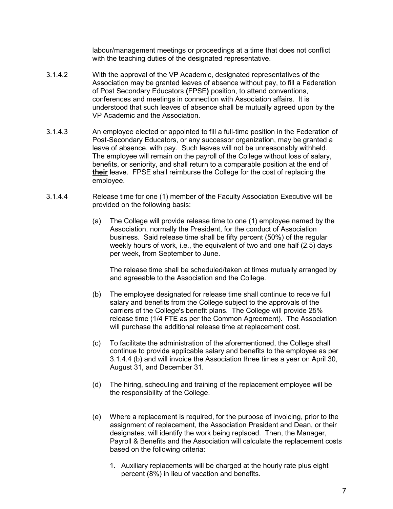labour/management meetings or proceedings at a time that does not conflict with the teaching duties of the designated representative.

- 3.1.4.2 With the approval of the VP Academic, designated representatives of the Association may be granted leaves of absence without pay, to fill a Federation of Post Secondary Educators **(**FPSE**)** position, to attend conventions, conferences and meetings in connection with Association affairs. It is understood that such leaves of absence shall be mutually agreed upon by the VP Academic and the Association.
- 3.1.4.3 An employee elected or appointed to fill a full-time position in the Federation of Post-Secondary Educators, or any successor organization, may be granted a leave of absence, with pay. Such leaves will not be unreasonably withheld. The employee will remain on the payroll of the College without loss of salary, benefits, or seniority, and shall return to a comparable position at the end of **their** leave. FPSE shall reimburse the College for the cost of replacing the employee.
- 3.1.4.4 Release time for one (1) member of the Faculty Association Executive will be provided on the following basis:
	- (a) The College will provide release time to one (1) employee named by the Association, normally the President, for the conduct of Association business. Said release time shall be fifty percent (50%) of the regular weekly hours of work, i.e., the equivalent of two and one half (2.5) days per week, from September to June.

The release time shall be scheduled/taken at times mutually arranged by and agreeable to the Association and the College.

- (b) The employee designated for release time shall continue to receive full salary and benefits from the College subject to the approvals of the carriers of the College's benefit plans. The College will provide 25% release time (1/4 FTE as per the Common Agreement). The Association will purchase the additional release time at replacement cost.
- (c) To facilitate the administration of the aforementioned, the College shall continue to provide applicable salary and benefits to the employee as per 3.1.4.4 (b) and will invoice the Association three times a year on April 30, August 31, and December 31.
- (d) The hiring, scheduling and training of the replacement employee will be the responsibility of the College.
- (e) Where a replacement is required, for the purpose of invoicing, prior to the assignment of replacement, the Association President and Dean, or their designates, will identify the work being replaced. Then, the Manager, Payroll & Benefits and the Association will calculate the replacement costs based on the following criteria:
	- 1. Auxiliary replacements will be charged at the hourly rate plus eight percent (8%) in lieu of vacation and benefits.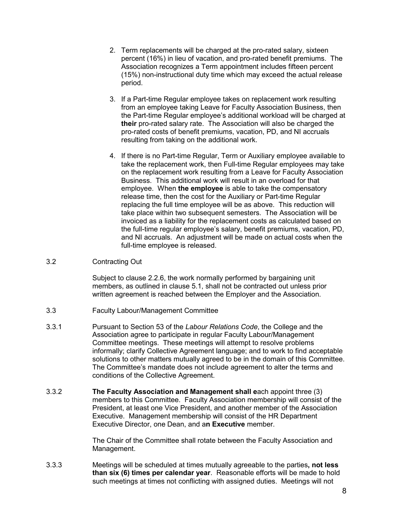- 2. Term replacements will be charged at the pro-rated salary, sixteen percent (16%) in lieu of vacation, and pro-rated benefit premiums. The Association recognizes a Term appointment includes fifteen percent (15%) non-instructional duty time which may exceed the actual release period.
- 3. If a Part-time Regular employee takes on replacement work resulting from an employee taking Leave for Faculty Association Business, then the Part-time Regular employee's additional workload will be charged at **their** pro-rated salary rate. The Association will also be charged the pro-rated costs of benefit premiums, vacation, PD, and NI accruals resulting from taking on the additional work.
- 4. If there is no Part-time Regular, Term or Auxiliary employee available to take the replacement work, then Full-time Regular employees may take on the replacement work resulting from a Leave for Faculty Association Business. This additional work will result in an overload for that employee. When **the employee** is able to take the compensatory release time, then the cost for the Auxiliary or Part-time Regular replacing the full time employee will be as above. This reduction will take place within two subsequent semesters. The Association will be invoiced as a liability for the replacement costs as calculated based on the full-time regular employee's salary, benefit premiums, vacation, PD, and NI accruals. An adjustment will be made on actual costs when the full-time employee is released.
- <span id="page-12-0"></span>3.2 Contracting Out

Subject to clause 2.2.6, the work normally performed by bargaining unit members, as outlined in clause 5.1, shall not be contracted out unless prior written agreement is reached between the Employer and the Association.

- <span id="page-12-1"></span>3.3 Faculty Labour/Management Committee
- 3.3.1 Pursuant to Section 53 of the *Labour Relations Code*, the College and the Association agree to participate in regular Faculty Labour/Management Committee meetings. These meetings will attempt to resolve problems informally; clarify Collective Agreement language; and to work to find acceptable solutions to other matters mutually agreed to be in the domain of this Committee. The Committee's mandate does not include agreement to alter the terms and conditions of the Collective Agreement.
- 3.3.2 **The Faculty Association and Management shall e**ach appoint three (3) members to this Committee. Faculty Association membership will consist of the President, at least one Vice President, and another member of the Association Executive. Management membership will consist of the HR Department Executive Director, one Dean, and a**n Executive** member.

The Chair of the Committee shall rotate between the Faculty Association and Management.

3.3.3 Meetings will be scheduled at times mutually agreeable to the parties**, not less than six (6) times per calendar year**. Reasonable efforts will be made to hold such meetings at times not conflicting with assigned duties. Meetings will not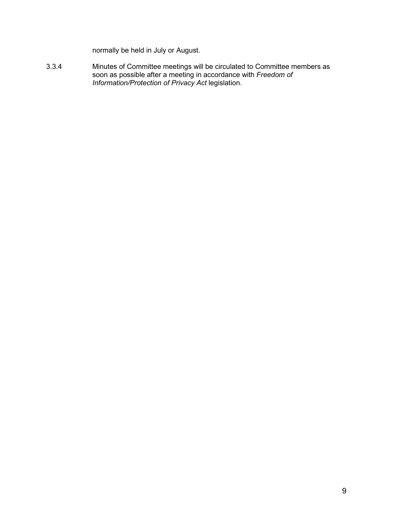normally be held in July or August.

3.3.4 Minutes of Committee meetings will be circulated to Committee members as soon as possible after a meeting in accordance with *Freedom of Information/Protection of Privacy Act* legislation.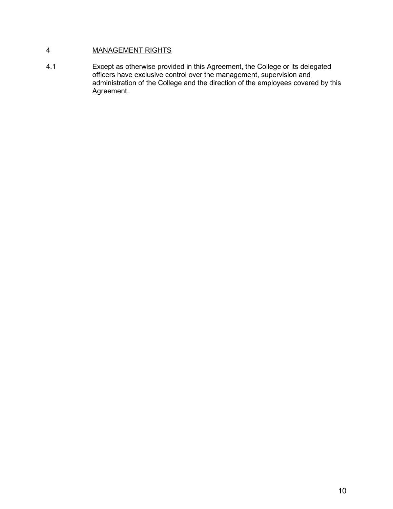# <span id="page-14-0"></span>4 MANAGEMENT RIGHTS

4.1 Except as otherwise provided in this Agreement, the College or its delegated officers have exclusive control over the management, supervision and administration of the College and the direction of the employees covered by this Agreement.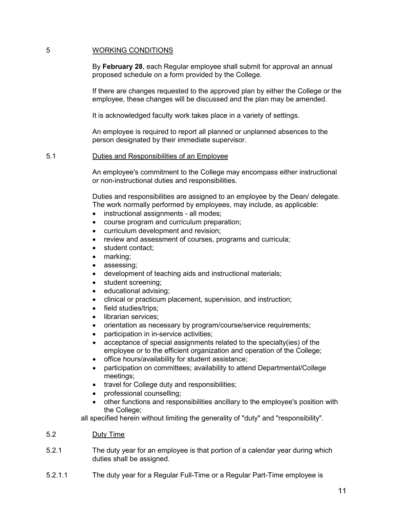## <span id="page-15-0"></span>5 WORKING CONDITIONS

By **February 28**, each Regular employee shall submit for approval an annual proposed schedule on a form provided by the College.

If there are changes requested to the approved plan by either the College or the employee, these changes will be discussed and the plan may be amended.

It is acknowledged faculty work takes place in a variety of settings.

An employee is required to report all planned or unplanned absences to the person designated by their immediate supervisor.

#### <span id="page-15-1"></span>5.1 Duties and Responsibilities of an Employee

An employee's commitment to the College may encompass either instructional or non-instructional duties and responsibilities.

Duties and responsibilities are assigned to an employee by the Dean/ delegate. The work normally performed by employees, may include, as applicable:

- instructional assignments all modes;
- course program and curriculum preparation;
- curriculum development and revision;
- review and assessment of courses, programs and curricula;
- student contact:
- marking;
- assessing;
- development of teaching aids and instructional materials;
- student screening;
- educational advising;
- clinical or practicum placement, supervision, and instruction;
- field studies/trips;
- librarian services:
- orientation as necessary by program/course/service requirements;
- participation in in-service activities;
- acceptance of special assignments related to the specialty(ies) of the employee or to the efficient organization and operation of the College;
- office hours/availability for student assistance;
- participation on committees; availability to attend Departmental/College meetings;
- travel for College duty and responsibilities;
- professional counselling;
- other functions and responsibilities ancillary to the employee's position with the College;

all specified herein without limiting the generality of "duty" and "responsibility".

#### <span id="page-15-2"></span>5.2 Duty Time

- 5.2.1 The duty year for an employee is that portion of a calendar year during which duties shall be assigned.
- 5.2.1.1 The duty year for a Regular Full-Time or a Regular Part-Time employee is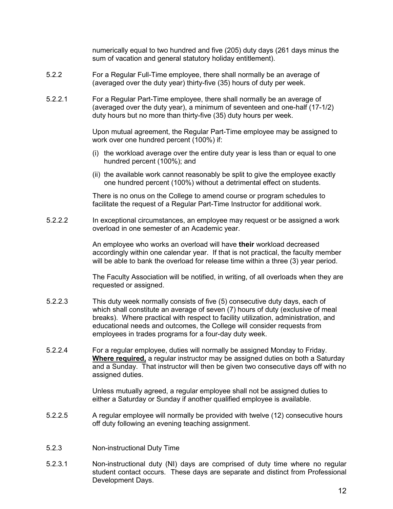numerically equal to two hundred and five (205) duty days (261 days minus the sum of vacation and general statutory holiday entitlement).

- 5.2.2 For a Regular Full-Time employee, there shall normally be an average of (averaged over the duty year) thirty-five (35) hours of duty per week.
- 5.2.2.1 For a Regular Part-Time employee, there shall normally be an average of (averaged over the duty year), a minimum of seventeen and one-half (17-1/2) duty hours but no more than thirty-five (35) duty hours per week.

Upon mutual agreement, the Regular Part-Time employee may be assigned to work over one hundred percent (100%) if:

- (i) the workload average over the entire duty year is less than or equal to one hundred percent (100%); and
- (ii) the available work cannot reasonably be split to give the employee exactly one hundred percent (100%) without a detrimental effect on students.

There is no onus on the College to amend course or program schedules to facilitate the request of a Regular Part-Time Instructor for additional work.

5.2.2.2 In exceptional circumstances, an employee may request or be assigned a work overload in one semester of an Academic year.

> An employee who works an overload will have **their** workload decreased accordingly within one calendar year. If that is not practical, the faculty member will be able to bank the overload for release time within a three (3) year period.

> The Faculty Association will be notified, in writing, of all overloads when they are requested or assigned.

- 5.2.2.3 This duty week normally consists of five (5) consecutive duty days, each of which shall constitute an average of seven (7) hours of duty (exclusive of meal breaks).Where practical with respect to facility utilization, administration, and educational needs and outcomes, the College will consider requests from employees in trades programs for a four-day duty week.
- 5.2.2.4 For a regular employee, duties will normally be assigned Monday to Friday. **Where required,** a regular instructor may be assigned duties on both a Saturday and a Sunday. That instructor will then be given two consecutive days off with no assigned duties.

Unless mutually agreed, a regular employee shall not be assigned duties to either a Saturday or Sunday if another qualified employee is available.

- 5.2.2.5 A regular employee will normally be provided with twelve (12) consecutive hours off duty following an evening teaching assignment.
- <span id="page-16-0"></span>5.2.3 Non-instructional Duty Time
- 5.2.3.1 Non-instructional duty (NI) days are comprised of duty time where no regular student contact occurs. These days are separate and distinct from Professional Development Days.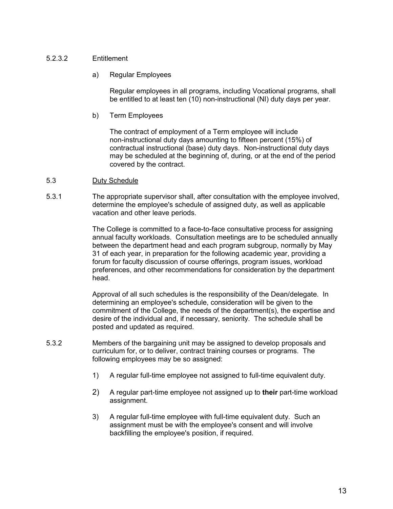## <span id="page-17-0"></span>5.2.3.2 Entitlement

a) Regular Employees

Regular employees in all programs, including Vocational programs, shall be entitled to at least ten (10) non-instructional (NI) duty days per year.

b) Term Employees

The contract of employment of a Term employee will include non-instructional duty days amounting to fifteen percent (15%) of contractual instructional (base) duty days. Non-instructional duty days may be scheduled at the beginning of, during, or at the end of the period covered by the contract.

#### <span id="page-17-1"></span>5.3 Duty Schedule

5.3.1 The appropriate supervisor shall, after consultation with the employee involved, determine the employee's schedule of assigned duty, as well as applicable vacation and other leave periods.

> The College is committed to a face-to-face consultative process for assigning annual faculty workloads. Consultation meetings are to be scheduled annually between the department head and each program subgroup, normally by May 31 of each year, in preparation for the following academic year, providing a forum for faculty discussion of course offerings, program issues, workload preferences, and other recommendations for consideration by the department head.

Approval of all such schedules is the responsibility of the Dean/delegate. In determining an employee's schedule, consideration will be given to the commitment of the College, the needs of the department(s), the expertise and desire of the individual and, if necessary, seniority. The schedule shall be posted and updated as required.

- 5.3.2 Members of the bargaining unit may be assigned to develop proposals and curriculum for, or to deliver, contract training courses or programs. The following employees may be so assigned:
	- 1) A regular full-time employee not assigned to full-time equivalent duty.
	- 2) A regular part-time employee not assigned up to **their** part-time workload assignment.
	- 3) A regular full-time employee with full-time equivalent duty. Such an assignment must be with the employee's consent and will involve backfilling the employee's position, if required.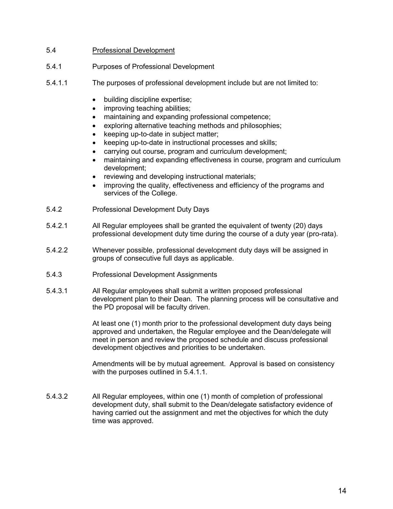# <span id="page-18-0"></span>5.4 Professional Development

- <span id="page-18-1"></span>5.4.1 Purposes of Professional Development
- <span id="page-18-2"></span>5.4.1.1 The purposes of professional development include but are not limited to:
	- building discipline expertise;
	- improving teaching abilities;
	- maintaining and expanding professional competence;
	- exploring alternative teaching methods and philosophies;
	- keeping up-to-date in subject matter;
	- keeping up-to-date in instructional processes and skills;
	- carrying out course, program and curriculum development;
	- maintaining and expanding effectiveness in course, program and curriculum development;
	- reviewing and developing instructional materials;
	- improving the quality, effectiveness and efficiency of the programs and services of the College.
- <span id="page-18-3"></span>5.4.2 Professional Development Duty Days
- 5.4.2.1 All Regular employees shall be granted the equivalent of twenty (20) days professional development duty time during the course of a duty year (pro-rata).
- 5.4.2.2 Whenever possible, professional development duty days will be assigned in groups of consecutive full days as applicable.
- <span id="page-18-4"></span>5.4.3 Professional Development Assignments
- 5.4.3.1 All Regular employees shall submit a written proposed professional development plan to their Dean. The planning process will be consultative and the PD proposal will be faculty driven.

At least one (1) month prior to the professional development duty days being approved and undertaken, the Regular employee and the Dean/delegate will meet in person and review the proposed schedule and discuss professional development objectives and priorities to be undertaken.

Amendments will be by mutual agreement. Approval is based on consistency with the purposes outlined in 5.4.1.1.

5.4.3.2 All Regular employees, within one (1) month of completion of professional development duty, shall submit to the Dean/delegate satisfactory evidence of having carried out the assignment and met the objectives for which the duty time was approved.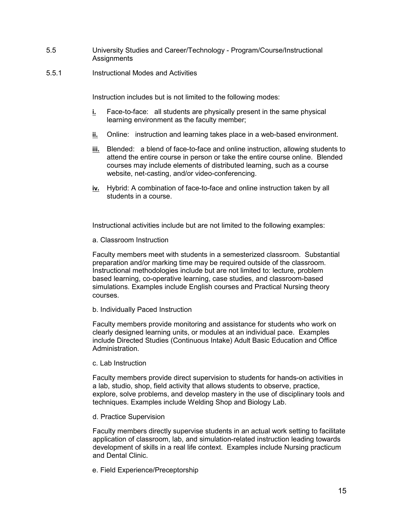- <span id="page-19-0"></span>5.5 University Studies and Career/Technology - Program/Course/Instructional **Assignments**
- 5.5.1 Instructional Modes and Activities

Instruction includes but is not limited to the following modes:

- **i.** Face-to-face: all students are physically present in the same physical learning environment as the faculty member;
- **ii.** Online: instruction and learning takes place in a web-based environment.
- **iii.** Blended: a blend of face-to-face and online instruction, allowing students to attend the entire course in person or take the entire course online. Blended courses may include elements of distributed learning, such as a course website, net-casting, and/or video-conferencing.
- **iv.** Hybrid: A combination of face-to-face and online instruction taken by all students in a course.

Instructional activities include but are not limited to the following examples:

a. Classroom Instruction

Faculty members meet with students in a semesterized classroom. Substantial preparation and/or marking time may be required outside of the classroom. Instructional methodologies include but are not limited to: lecture, problem based learning, co-operative learning, case studies, and classroom-based simulations. Examples include English courses and Practical Nursing theory courses.

b. Individually Paced Instruction

Faculty members provide monitoring and assistance for students who work on clearly designed learning units, or modules at an individual pace. Examples include Directed Studies (Continuous Intake) Adult Basic Education and Office Administration.

c. Lab Instruction

Faculty members provide direct supervision to students for hands-on activities in a lab, studio, shop, field activity that allows students to observe, practice, explore, solve problems, and develop mastery in the use of disciplinary tools and techniques. Examples include Welding Shop and Biology Lab.

d. Practice Supervision

Faculty members directly supervise students in an actual work setting to facilitate application of classroom, lab, and simulation-related instruction leading towards development of skills in a real life context. Examples include Nursing practicum and Dental Clinic.

e. Field Experience/Preceptorship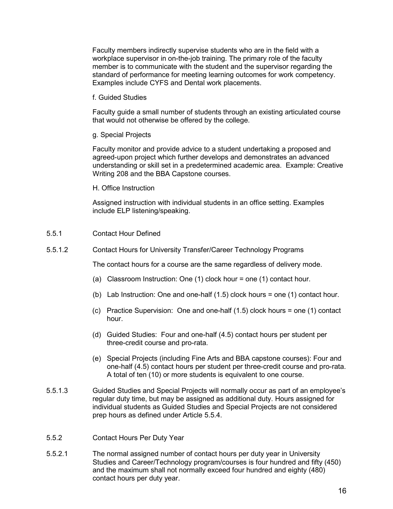Faculty members indirectly supervise students who are in the field with a workplace supervisor in on-the-job training. The primary role of the faculty member is to communicate with the student and the supervisor regarding the standard of performance for meeting learning outcomes for work competency. Examples include CYFS and Dental work placements.

f. Guided Studies

Faculty guide a small number of students through an existing articulated course that would not otherwise be offered by the college.

g. Special Projects

Faculty monitor and provide advice to a student undertaking a proposed and agreed-upon project which further develops and demonstrates an advanced understanding or skill set in a predetermined academic area. Example: Creative Writing 208 and the BBA Capstone courses.

H. Office Instruction

Assigned instruction with individual students in an office setting. Examples include ELP listening/speaking.

- <span id="page-20-0"></span>5.5.1 Contact Hour Defined
- 5.5.1.2 Contact Hours for University Transfer/Career Technology Programs

The contact hours for a course are the same regardless of delivery mode.

- (a) Classroom Instruction: One (1) clock hour = one (1) contact hour.
- (b) Lab Instruction: One and one-half (1.5) clock hours = one (1) contact hour.
- (c) Practice Supervision: One and one-half (1.5) clock hours = one (1) contact hour.
- (d) Guided Studies: Four and one-half (4.5) contact hours per student per three-credit course and pro-rata.
- (e) Special Projects (including Fine Arts and BBA capstone courses): Four and one-half (4.5) contact hours per student per three-credit course and pro-rata. A total of ten (10) or more students is equivalent to one course.
- 5.5.1.3 Guided Studies and Special Projects will normally occur as part of an employee's regular duty time, but may be assigned as additional duty. Hours assigned for individual students as Guided Studies and Special Projects are not considered prep hours as defined under Article 5.5.4.
- <span id="page-20-1"></span>5.5.2 Contact Hours Per Duty Year
- 5.5.2.1 The normal assigned number of contact hours per duty year in University Studies and Career/Technology program/courses is four hundred and fifty (450) and the maximum shall not normally exceed four hundred and eighty (480) contact hours per duty year.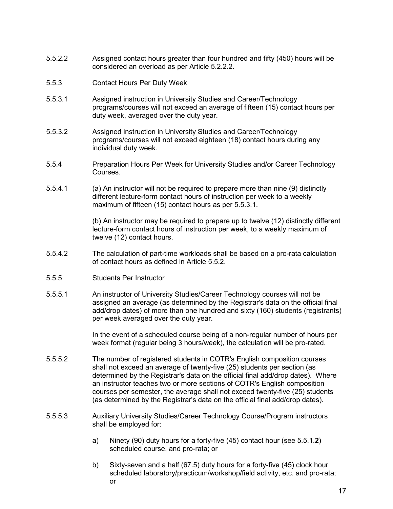- 5.5.2.2 Assigned contact hours greater than four hundred and fifty (450) hours will be considered an overload as per Article 5.2.2.2.
- <span id="page-21-0"></span>5.5.3 Contact Hours Per Duty Week
- 5.5.3.1 Assigned instruction in University Studies and Career/Technology programs/courses will not exceed an average of fifteen (15) contact hours per duty week, averaged over the duty year.
- 5.5.3.2 Assigned instruction in University Studies and Career/Technology programs/courses will not exceed eighteen (18) contact hours during any individual duty week.
- <span id="page-21-1"></span>5.5.4 Preparation Hours Per Week for University Studies and/or Career Technology Courses.
- 5.5.4.1 (a) An instructor will not be required to prepare more than nine (9) distinctly different lecture-form contact hours of instruction per week to a weekly maximum of fifteen (15) contact hours as per 5.5.3.1.

(b) An instructor may be required to prepare up to twelve (12) distinctly different lecture-form contact hours of instruction per week, to a weekly maximum of twelve (12) contact hours.

- 5.5.4.2 The calculation of part-time workloads shall be based on a pro-rata calculation of contact hours as defined in Article 5.5.2.
- <span id="page-21-2"></span>5.5.5 Students Per Instructor
- 5.5.5.1 An instructor of University Studies/Career Technology courses will not be assigned an average (as determined by the Registrar's data on the official final add/drop dates) of more than one hundred and sixty (160) students (registrants) per week averaged over the duty year.

In the event of a scheduled course being of a non-regular number of hours per week format (regular being 3 hours/week), the calculation will be pro-rated.

- 5.5.5.2 The number of registered students in COTR's English composition courses shall not exceed an average of twenty-five (25) students per section (as determined by the Registrar's data on the official final add/drop dates). Where an instructor teaches two or more sections of COTR's English composition courses per semester, the average shall not exceed twenty-five (25) students (as determined by the Registrar's data on the official final add/drop dates).
- 5.5.5.3 Auxiliary University Studies/Career Technology Course/Program instructors shall be employed for:
	- a) Ninety (90) duty hours for a forty-five (45) contact hour (see 5.5.1.**2**) scheduled course, and pro-rata; or
	- b) Sixty-seven and a half (67.5) duty hours for a forty-five (45) clock hour scheduled laboratory/practicum/workshop/field activity, etc. and pro-rata; or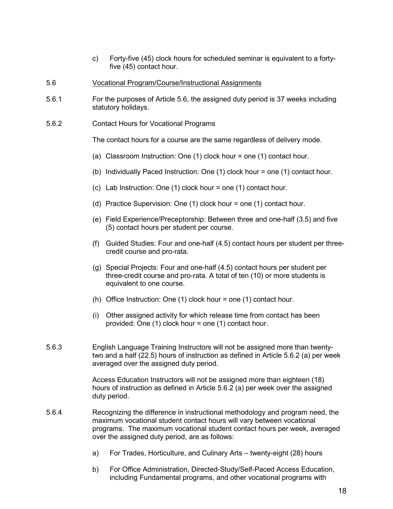- c) Forty-five (45) clock hours for scheduled seminar is equivalent to a fortyfive (45) contact hour.
- <span id="page-22-0"></span>5.6 Vocational Program/Course/Instructional Assignments
- 5.6.1 For the purposes of Article 5.6, the assigned duty period is 37 weeks including statutory holidays.
- 5.6.2 Contact Hours for Vocational Programs

The contact hours for a course are the same regardless of delivery mode.

- (a) Classroom Instruction: One (1) clock hour = one (1) contact hour.
- (b) Individually Paced Instruction: One (1) clock hour = one (1) contact hour.
- (c) Lab Instruction: One (1) clock hour = one (1) contact hour.
- (d) Practice Supervision: One (1) clock hour = one (1) contact hour.
- (e) Field Experience/Preceptorship: Between three and one-half (3.5) and five (5) contact hours per student per course.
- (f) Guided Studies: Four and one-half (4.5) contact hours per student per threecredit course and pro-rata.
- (g) Special Projects: Four and one-half (4.5) contact hours per student per three-credit course and pro-rata. A total of ten (10) or more students is equivalent to one course.
- (h) Office Instruction: One (1) clock hour = one (1) contact hour.
- (i) Other assigned activity for which release time from contact has been provided: One (1) clock hour = one (1) contact hour.
- 5.6.3 English Language Training Instructors will not be assigned more than twentytwo and a half (22.5) hours of instruction as defined in Article 5.6.2 (a) per week averaged over the assigned duty period.

Access Education Instructors will not be assigned more than eighteen (18) hours of instruction as defined in Article 5.6.2 (a) per week over the assigned duty period.

- 5.6.4 Recognizing the difference in instructional methodology and program need, the maximum vocational student contact hours will vary between vocational programs. The maximum vocational student contact hours per week, averaged over the assigned duty period, are as follows:
	- a) For Trades, Horticulture, and Culinary Arts twenty-eight (28) hours
	- b) For Office Administration, Directed-Study/Self-Paced Access Education, including Fundamental programs, and other vocational programs with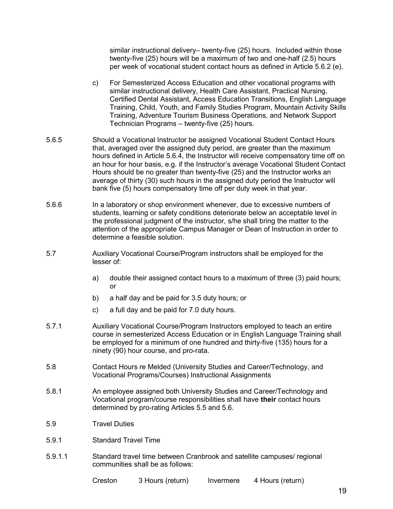similar instructional delivery– twenty-five (25) hours. Included within those twenty-five (25) hours will be a maximum of two and one-half (2.5) hours per week of vocational student contact hours as defined in Article 5.6.2 (e).

- c) For Semesterized Access Education and other vocational programs with similar instructional delivery, Health Care Assistant, Practical Nursing, Certified Dental Assistant, Access Education Transitions, English Language Training, Child, Youth, and Family Studies Program, Mountain Activity Skills Training, Adventure Tourism Business Operations, and Network Support Technician Programs – twenty-five (25) hours.
- 5.6.5 Should a Vocational Instructor be assigned Vocational Student Contact Hours that, averaged over the assigned duty period, are greater than the maximum hours defined in Article 5.6.4, the Instructor will receive compensatory time off on an hour for hour basis, e.g. if the Instructor's average Vocational Student Contact Hours should be no greater than twenty-five (25) and the Instructor works an average of thirty (30) such hours in the assigned duty period the Instructor will bank five (5) hours compensatory time off per duty week in that year.
- 5.6.6 In a laboratory or shop environment whenever, due to excessive numbers of students, learning or safety conditions deteriorate below an acceptable level in the professional judgment of the instructor, s/he shall bring the matter to the attention of the appropriate Campus Manager or Dean of Instruction in order to determine a feasible solution.
- <span id="page-23-0"></span>5.7 Auxiliary Vocational Course/Program instructors shall be employed for the lesser of:
	- a) double their assigned contact hours to a maximum of three (3) paid hours; or
	- b) a half day and be paid for 3.5 duty hours; or
	- c) a full day and be paid for 7.0 duty hours.
- 5.7.1 Auxiliary Vocational Course/Program Instructors employed to teach an entire course in semesterized Access Education or in English Language Training shall be employed for a minimum of one hundred and thirty-five (135) hours for a ninety (90) hour course, and pro-rata.
- <span id="page-23-1"></span>5.8 Contact Hours re Melded (University Studies and Career/Technology, and Vocational Programs/Courses) Instructional Assignments
- 5.8.1 An employee assigned both University Studies and Career/Technology and Vocational program/course responsibilities shall have **their** contact hours determined by pro-rating Articles 5.5 and 5.6.
- <span id="page-23-2"></span>5.9 Travel Duties
- 5.9.1 Standard Travel Time
- 5.9.1.1 Standard travel time between Cranbrook and satellite campuses/ regional communities shall be as follows:

Creston 3 Hours (return) Invermere 4 Hours (return)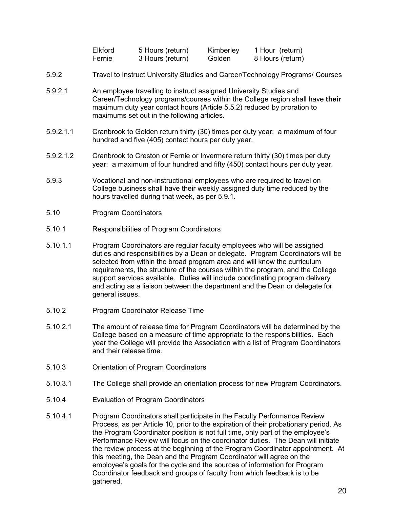| Elkford | 5 Hours (return) | Kimberley | 1 Hour (return)  |
|---------|------------------|-----------|------------------|
| Fernie  | 3 Hours (return) | Golden    | 8 Hours (return) |

- 5.9.2 Travel to Instruct University Studies and Career/Technology Programs/ Courses
- 5.9.2.1 An employee travelling to instruct assigned University Studies and Career/Technology programs/courses within the College region shall have **their** maximum duty year contact hours (Article 5.5.2) reduced by proration to maximums set out in the following articles.
- 5.9.2.1.1 Cranbrook to Golden return thirty (30) times per duty year: a maximum of four hundred and five (405) contact hours per duty year.
- 5.9.2.1.2 Cranbrook to Creston or Fernie or Invermere return thirty (30) times per duty year: a maximum of four hundred and fifty (450) contact hours per duty year.
- 5.9.3 Vocational and non-instructional employees who are required to travel on College business shall have their weekly assigned duty time reduced by the hours travelled during that week, as per 5.9.1.
- <span id="page-24-0"></span>5.10 Program Coordinators
- 5.10.1 Responsibilities of Program Coordinators
- 5.10.1.1 Program Coordinators are regular faculty employees who will be assigned duties and responsibilities by a Dean or delegate. Program Coordinators will be selected from within the broad program area and will know the curriculum requirements, the structure of the courses within the program, and the College support services available. Duties will include coordinating program delivery and acting as a liaison between the department and the Dean or delegate for general issues.
- 5.10.2 Program Coordinator Release Time
- 5.10.2.1 The amount of release time for Program Coordinators will be determined by the College based on a measure of time appropriate to the responsibilities. Each year the College will provide the Association with a list of Program Coordinators and their release time.
- 5.10.3 Orientation of Program Coordinators
- 5.10.3.1 The College shall provide an orientation process for new Program Coordinators.
- 5.10.4 Evaluation of Program Coordinators
- 5.10.4.1 Program Coordinators shall participate in the Faculty Performance Review Process, as per Article 10, prior to the expiration of their probationary period. As the Program Coordinator position is not full time, only part of the employee's Performance Review will focus on the coordinator duties. The Dean will initiate the review process at the beginning of the Program Coordinator appointment. At this meeting, the Dean and the Program Coordinator will agree on the employee's goals for the cycle and the sources of information for Program Coordinator feedback and groups of faculty from which feedback is to be gathered.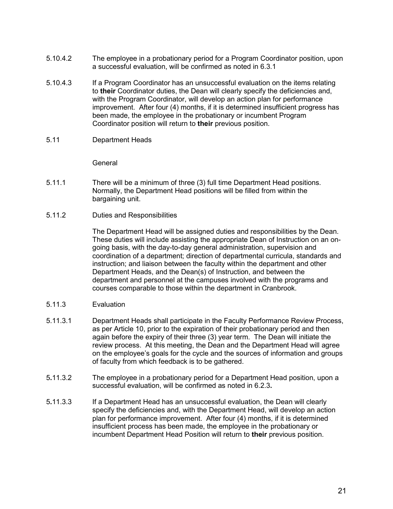- 5.10.4.2 The employee in a probationary period for a Program Coordinator position, upon a successful evaluation, will be confirmed as noted in 6.3.1
- 5.10.4.3 If a Program Coordinator has an unsuccessful evaluation on the items relating to **their** Coordinator duties, the Dean will clearly specify the deficiencies and, with the Program Coordinator, will develop an action plan for performance improvement. After four (4) months, if it is determined insufficient progress has been made, the employee in the probationary or incumbent Program Coordinator position will return to **their** previous position.
- <span id="page-25-0"></span>5.11 Department Heads

#### **General**

- 5.11.1 There will be a minimum of three (3) full time Department Head positions. Normally, the Department Head positions will be filled from within the bargaining unit.
- 5.11.2 Duties and Responsibilities

The Department Head will be assigned duties and responsibilities by the Dean. These duties will include assisting the appropriate Dean of Instruction on an ongoing basis, with the day-to-day general administration, supervision and coordination of a department; direction of departmental curricula, standards and instruction; and liaison between the faculty within the department and other Department Heads, and the Dean(s) of Instruction, and between the department and personnel at the campuses involved with the programs and courses comparable to those within the department in Cranbrook.

- 5.11.3 Evaluation
- 5.11.3.1 Department Heads shall participate in the Faculty Performance Review Process, as per Article 10, prior to the expiration of their probationary period and then again before the expiry of their three (3) year term. The Dean will initiate the review process. At this meeting, the Dean and the Department Head will agree on the employee's goals for the cycle and the sources of information and groups of faculty from which feedback is to be gathered.
- 5**.**11.3.2 The employee in a probationary period for a Department Head position, upon a successful evaluation, will be confirmed as noted in 6.2.3**.**
- 5**.**11.3.3 If a Department Head has an unsuccessful evaluation, the Dean will clearly specify the deficiencies and, with the Department Head, will develop an action plan for performance improvement. After four (4) months, if it is determined insufficient process has been made, the employee in the probationary or incumbent Department Head Position will return to **their** previous position.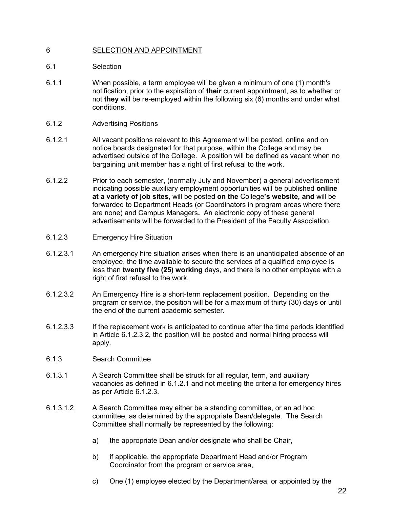# <span id="page-26-0"></span>6 SELECTION AND APPOINTMENT

- <span id="page-26-1"></span>6.1 Selection
- 6.1.1 When possible, a term employee will be given a minimum of one (1) month's notification, prior to the expiration of **their** current appointment, as to whether or not **they** will be re-employed within the following six (6) months and under what conditions.
- 6.1.2 Advertising Positions
- 6.1.2.1 All vacant positions relevant to this Agreement will be posted, online and on notice boards designated for that purpose, within the College and may be advertised outside of the College. A position will be defined as vacant when no bargaining unit member has a right of first refusal to the work.
- 6.1.2.2 Prior to each semester, (normally July and November) a general advertisement indicating possible auxiliary employment opportunities will be published **online at a variety of job sites**, will be posted **on the** College**'s website, and** will be forwarded to Department Heads (or Coordinators in program areas where there are none) and Campus Managers**.** An electronic copy of these general advertisements will be forwarded to the President of the Faculty Association.
- <span id="page-26-2"></span>6.1.2.3 Emergency Hire Situation
- 6.1.2.3.1 An emergency hire situation arises when there is an unanticipated absence of an employee, the time available to secure the services of a qualified employee is less than **twenty five (25) working** days, and there is no other employee with a right of first refusal to the work.
- 6.1.2.3.2 An Emergency Hire is a short-term replacement position. Depending on the program or service, the position will be for a maximum of thirty (30) days or until the end of the current academic semester.
- 6.1.2.3.3 If the replacement work is anticipated to continue after the time periods identified in Article 6.1.2.3.2, the position will be posted and normal hiring process will apply.
- <span id="page-26-3"></span>6.1.3 Search Committee
- 6.1.3.1 A Search Committee shall be struck for all regular, term, and auxiliary vacancies as defined in 6.1.2.1 and not meeting the criteria for emergency hires as per Article 6.1.2.3.
- 6.1.3.1.2 A Search Committee may either be a standing committee, or an ad hoc committee, as determined by the appropriate Dean/delegate. The Search Committee shall normally be represented by the following:
	- a) the appropriate Dean and/or designate who shall be Chair,
	- b) if applicable, the appropriate Department Head and/or Program Coordinator from the program or service area,
	- c) One (1) employee elected by the Department/area, or appointed by the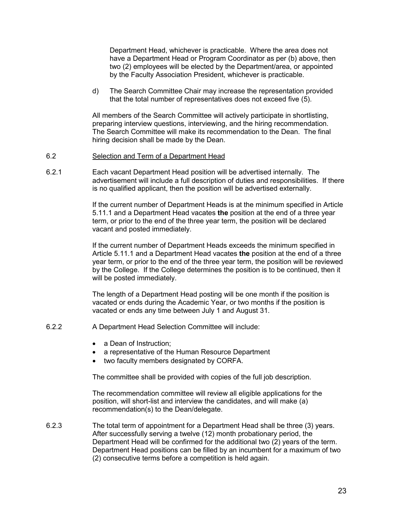Department Head, whichever is practicable. Where the area does not have a Department Head or Program Coordinator as per (b) above, then two (2) employees will be elected by the Department/area, or appointed by the Faculty Association President, whichever is practicable.

d) The Search Committee Chair may increase the representation provided that the total number of representatives does not exceed five (5).

All members of the Search Committee will actively participate in shortlisting, preparing interview questions, interviewing, and the hiring recommendation. The Search Committee will make its recommendation to the Dean. The final hiring decision shall be made by the Dean.

#### <span id="page-27-0"></span>6.2 Selection and Term of a Department Head

6.2.1 Each vacant Department Head position will be advertised internally. The advertisement will include a full description of duties and responsibilities. If there is no qualified applicant, then the position will be advertised externally.

> If the current number of Department Heads is at the minimum specified in Article 5.11.1 and a Department Head vacates **the** position at the end of a three year term, or prior to the end of the three year term, the position will be declared vacant and posted immediately.

> If the current number of Department Heads exceeds the minimum specified in Article 5.11.1 and a Department Head vacates **the** position at the end of a three year term, or prior to the end of the three year term, the position will be reviewed by the College. If the College determines the position is to be continued, then it will be posted immediately.

The length of a Department Head posting will be one month if the position is vacated or ends during the Academic Year, or two months if the position is vacated or ends any time between July 1 and August 31.

- <span id="page-27-1"></span>6.2.2 A Department Head Selection Committee will include:
	- a Dean of Instruction;
	- a representative of the Human Resource Department
	- two faculty members designated by CORFA.

The committee shall be provided with copies of the full job description.

The recommendation committee will review all eligible applications for the position, will short-list and interview the candidates, and will make (a) recommendation(s) to the Dean/delegate.

6.2.3 The total term of appointment for a Department Head shall be three (3) years. After successfully serving a twelve (12) month probationary period, the Department Head will be confirmed for the additional two (2) years of the term. Department Head positions can be filled by an incumbent for a maximum of two (2) consecutive terms before a competition is held again.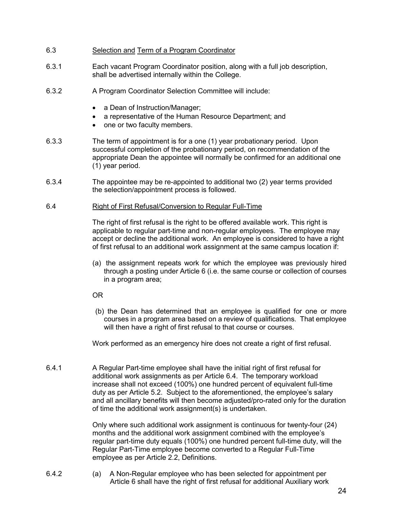- <span id="page-28-0"></span>6.3 Selection and Term of a Program Coordinator
- 6.3.1 Each vacant Program Coordinator position, along with a full job description, shall be advertised internally within the College.
- <span id="page-28-1"></span>6.3.2 A Program Coordinator Selection Committee will include:
	- a Dean of Instruction/Manager;
	- a representative of the Human Resource Department; and
	- one or two faculty members.
- 6.3.3 The term of appointment is for a one (1) year probationary period. Upon successful completion of the probationary period, on recommendation of the appropriate Dean the appointee will normally be confirmed for an additional one (1) year period.
- 6.3.4 The appointee may be re-appointed to additional two (2) year terms provided the selection/appointment process is followed.

#### <span id="page-28-2"></span>6.4 Right of First Refusal/Conversion to Regular Full-Time

The right of first refusal is the right to be offered available work. This right is applicable to regular part-time and non-regular employees. The employee may accept or decline the additional work. An employee is considered to have a right of first refusal to an additional work assignment at the same campus location if:

- (a) the assignment repeats work for which the employee was previously hired through a posting under Article 6 (i.e. the same course or collection of courses in a program area;
- OR
- (b) the Dean has determined that an employee is qualified for one or more courses in a program area based on a review of qualifications. That employee will then have a right of first refusal to that course or courses.

Work performed as an emergency hire does not create a right of first refusal.

6.4.1 A Regular Part-time employee shall have the initial right of first refusal for additional work assignments as per Article 6.4. The temporary workload increase shall not exceed (100%) one hundred percent of equivalent full-time duty as per Article 5.2. Subject to the aforementioned, the employee's salary and all ancillary benefits will then become adjusted/pro-rated only for the duration of time the additional work assignment(s) is undertaken.

> Only where such additional work assignment is continuous for twenty-four (24) months and the additional work assignment combined with the employee's regular part-time duty equals (100%) one hundred percent full-time duty, will the Regular Part-Time employee become converted to a Regular Full-Time employee as per Article 2.2, Definitions.

6.4.2 (a) A Non-Regular employee who has been selected for appointment per Article 6 shall have the right of first refusal for additional Auxiliary work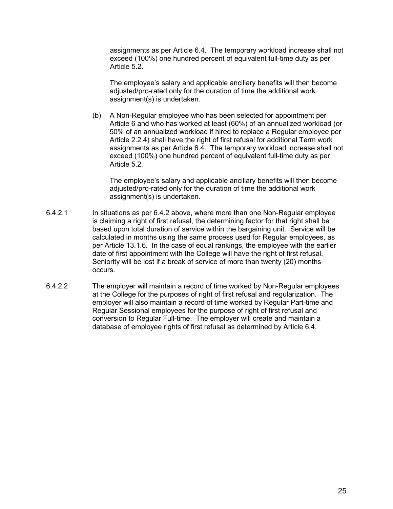assignments as per Article 6.4. The temporary workload increase shall not exceed (100%) one hundred percent of equivalent full-time duty as per Article 5.2.

The employee's salary and applicable ancillary benefits will then become adjusted/pro-rated only for the duration of time the additional work assignment(s) is undertaken.

(b) A Non-Regular employee who has been selected for appointment per Article 6 and who has worked at least (60%) of an annualized workload (or 50% of an annualized workload if hired to replace a Regular employee per Article 2.2.4) shall have the right of first refusal for additional Term work assignments as per Article 6.4. The temporary workload increase shall not exceed (100%) one hundred percent of equivalent full-time duty as per Article 5.2.

The employee's salary and applicable ancillary benefits will then become adjusted/pro-rated only for the duration of time the additional work assignment(s) is undertaken.

- 6.4.2.1 In situations as per 6.4.2 above, where more than one Non-Regular employee is claiming a right of first refusal, the determining factor for that right shall be based upon total duration of service within the bargaining unit. Service will be calculated in months using the same process used for Regular employees, as per Article 13.1.6. In the case of equal rankings, the employee with the earlier date of first appointment with the College will have the right of first refusal. Seniority will be lost if a break of service of more than twenty (20) months occurs.
- 6.4.2.2 The employer will maintain a record of time worked by Non-Regular employees at the College for the purposes of right of first refusal and regularization. The employer will also maintain a record of time worked by Regular Part-time and Regular Sessional employees for the purpose of right of first refusal and conversion to Regular Full-time. The employer will create and maintain a database of employee rights of first refusal as determined by Article 6.4.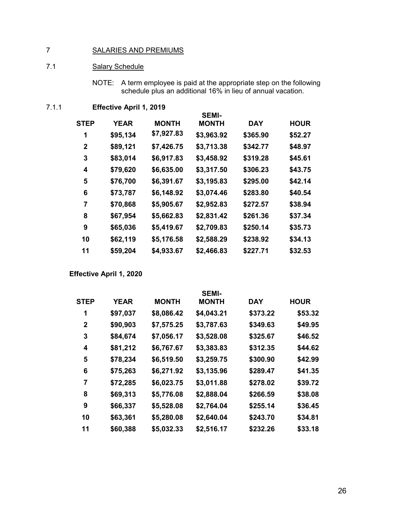# <span id="page-30-0"></span>SALARIES AND PREMIUMS

# <span id="page-30-1"></span>7.1 Salary Schedule

NOTE: A term employee is paid at the appropriate step on the following schedule plus an additional 16% in lieu of annual vacation.

# 7.1.1 **Effective April 1, 2019**

|             |             |              | <b>SEMI-</b> |            |             |
|-------------|-------------|--------------|--------------|------------|-------------|
| <b>STEP</b> | <b>YEAR</b> | <b>MONTH</b> | <b>MONTH</b> | <b>DAY</b> | <b>HOUR</b> |
| 1           | \$95,134    | \$7,927.83   | \$3,963.92   | \$365.90   | \$52.27     |
| $\mathbf 2$ | \$89,121    | \$7,426.75   | \$3,713.38   | \$342.77   | \$48.97     |
| 3           | \$83,014    | \$6,917.83   | \$3,458.92   | \$319.28   | \$45.61     |
| 4           | \$79,620    | \$6,635.00   | \$3,317.50   | \$306.23   | \$43.75     |
| 5           | \$76,700    | \$6,391.67   | \$3,195.83   | \$295.00   | \$42.14     |
| 6           | \$73,787    | \$6,148.92   | \$3,074.46   | \$283.80   | \$40.54     |
| 7           | \$70,868    | \$5,905.67   | \$2,952.83   | \$272.57   | \$38.94     |
| 8           | \$67,954    | \$5,662.83   | \$2,831.42   | \$261.36   | \$37.34     |
| 9           | \$65,036    | \$5,419.67   | \$2,709.83   | \$250.14   | \$35.73     |
| 10          | \$62,119    | \$5,176.58   | \$2,588.29   | \$238.92   | \$34.13     |
| 11          | \$59,204    | \$4,933.67   | \$2,466.83   | \$227.71   | \$32.53     |
|             |             |              |              |            |             |

**Effective April 1, 2020**

|             |             |              | <b>SEMI-</b> |            |             |
|-------------|-------------|--------------|--------------|------------|-------------|
| <b>STEP</b> | <b>YEAR</b> | <b>MONTH</b> | <b>MONTH</b> | <b>DAY</b> | <b>HOUR</b> |
| 1           | \$97,037    | \$8,086.42   | \$4,043.21   | \$373.22   | \$53.32     |
| 2           | \$90,903    | \$7,575.25   | \$3,787.63   | \$349.63   | \$49.95     |
| 3           | \$84,674    | \$7,056.17   | \$3,528.08   | \$325.67   | \$46.52     |
| 4           | \$81,212    | \$6,767.67   | \$3,383.83   | \$312.35   | \$44.62     |
| 5           | \$78,234    | \$6,519.50   | \$3,259.75   | \$300.90   | \$42.99     |
| 6           | \$75,263    | \$6,271.92   | \$3,135.96   | \$289.47   | \$41.35     |
| 7           | \$72,285    | \$6,023.75   | \$3,011.88   | \$278.02   | \$39.72     |
| 8           | \$69,313    | \$5,776.08   | \$2,888.04   | \$266.59   | \$38.08     |
| 9           | \$66,337    | \$5,528.08   | \$2,764.04   | \$255.14   | \$36.45     |
| 10          | \$63,361    | \$5,280.08   | \$2,640.04   | \$243.70   | \$34.81     |
| 11          | \$60,388    | \$5,032.33   | \$2,516.17   | \$232.26   | \$33.18     |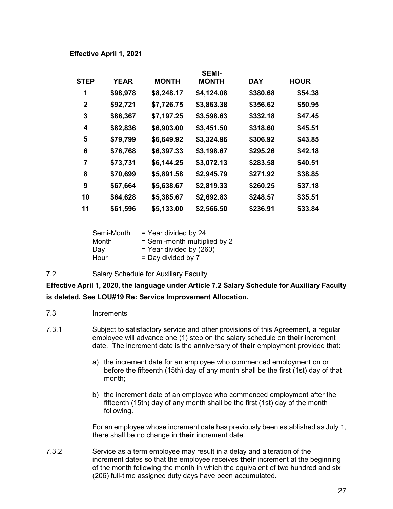| <b>STEP</b> | <b>YEAR</b> | <b>MONTH</b> | <b>SEMI-</b><br><b>MONTH</b> | <b>DAY</b> | <b>HOUR</b> |
|-------------|-------------|--------------|------------------------------|------------|-------------|
| 1           | \$98,978    | \$8,248.17   | \$4,124.08                   | \$380.68   | \$54.38     |
| 2           | \$92,721    | \$7,726.75   | \$3,863.38                   | \$356.62   | \$50.95     |
| 3           | \$86,367    | \$7,197.25   | \$3,598.63                   | \$332.18   | \$47.45     |
| 4           | \$82,836    | \$6,903.00   | \$3,451.50                   | \$318.60   | \$45.51     |
| 5           | \$79,799    | \$6,649.92   | \$3,324.96                   | \$306.92   | \$43.85     |
| 6           | \$76,768    | \$6,397.33   | \$3,198.67                   | \$295.26   | \$42.18     |
| 7           | \$73,731    | \$6,144.25   | \$3,072.13                   | \$283.58   | \$40.51     |
| 8           | \$70,699    | \$5,891.58   | \$2,945.79                   | \$271.92   | \$38.85     |
| 9           | \$67,664    | \$5,638.67   | \$2,819.33                   | \$260.25   | \$37.18     |
| 10          | \$64,628    | \$5,385.67   | \$2,692.83                   | \$248.57   | \$35.51     |
| 11          | \$61,596    | \$5,133.00   | \$2,566.50                   | \$236.91   | \$33.84     |

| Semi-Month | $=$ Year divided by 24       |
|------------|------------------------------|
| Month      | = Semi-month multiplied by 2 |
| Day        | $=$ Year divided by (260)    |
| Hour       | $=$ Day divided by 7         |

<span id="page-31-0"></span>7.2 Salary Schedule for Auxiliary Faculty

**Effective April 1, 2020, the language under Article 7.2 Salary Schedule for Auxiliary Faculty is deleted. See LOU#19 Re: Service Improvement Allocation.**

- <span id="page-31-1"></span>7.3 Increments
- 7.3.1 Subject to satisfactory service and other provisions of this Agreement, a regular employee will advance one (1) step on the salary schedule on **their** increment date. The increment date is the anniversary of **their** employment provided that:
	- a) the increment date for an employee who commenced employment on or before the fifteenth (15th) day of any month shall be the first (1st) day of that month;
	- b) the increment date of an employee who commenced employment after the fifteenth (15th) day of any month shall be the first (1st) day of the month following.

For an employee whose increment date has previously been established as July 1, there shall be no change in **their** increment date.

7.3.2 Service as a term employee may result in a delay and alteration of the increment dates so that the employee receives **their** increment at the beginning of the month following the month in which the equivalent of two hundred and six (206) full-time assigned duty days have been accumulated.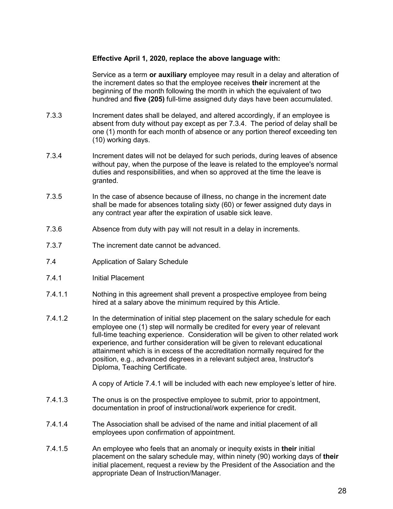## **Effective April 1, 2020, replace the above language with:**

Service as a term **or auxiliary** employee may result in a delay and alteration of the increment dates so that the employee receives **their** increment at the beginning of the month following the month in which the equivalent of two hundred and **five (205)** full-time assigned duty days have been accumulated.

- 7.3.3 Increment dates shall be delayed, and altered accordingly, if an employee is absent from duty without pay except as per 7.3.4. The period of delay shall be one (1) month for each month of absence or any portion thereof exceeding ten (10) working days.
- 7.3.4 Increment dates will not be delayed for such periods, during leaves of absence without pay, when the purpose of the leave is related to the employee's normal duties and responsibilities, and when so approved at the time the leave is granted.
- 7.3.5 In the case of absence because of illness, no change in the increment date shall be made for absences totaling sixty (60) or fewer assigned duty days in any contract year after the expiration of usable sick leave.
- 7.3.6 Absence from duty with pay will not result in a delay in increments.
- 7.3.7 The increment date cannot be advanced.
- <span id="page-32-0"></span>7.4 Application of Salary Schedule
- 7.4.1 Initial Placement
- 7.4.1.1 Nothing in this agreement shall prevent a prospective employee from being hired at a salary above the minimum required by this Article.
- 7.4.1.2 In the determination of initial step placement on the salary schedule for each employee one (1) step will normally be credited for every year of relevant full-time teaching experience. Consideration will be given to other related work experience, and further consideration will be given to relevant educational attainment which is in excess of the accreditation normally required for the position, e.g., advanced degrees in a relevant subject area, Instructor's Diploma, Teaching Certificate.

A copy of Article 7.4.1 will be included with each new employee's letter of hire.

- 7.4.1.3 The onus is on the prospective employee to submit, prior to appointment, documentation in proof of instructional/work experience for credit.
- 7.4.1.4 The Association shall be advised of the name and initial placement of all employees upon confirmation of appointment.
- 7.4.1.5 An employee who feels that an anomaly or inequity exists in **their** initial placement on the salary schedule may, within ninety (90) working days of **their** initial placement, request a review by the President of the Association and the appropriate Dean of Instruction/Manager.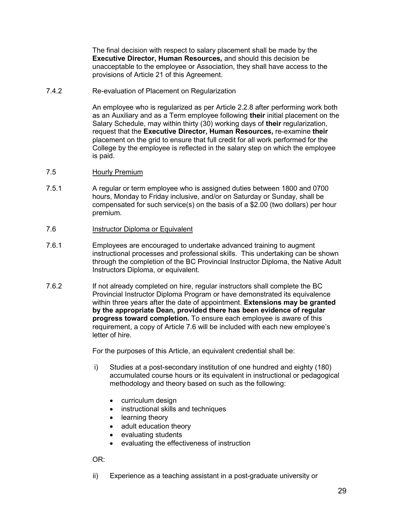The final decision with respect to salary placement shall be made by the **Executive Director, Human Resources,** and should this decision be unacceptable to the employee or Association, they shall have access to the provisions of Article 21 of this Agreement.

7.4.2 Re-evaluation of Placement on Regularization

An employee who is regularized as per Article 2.2.8 after performing work both as an Auxiliary and as a Term employee following **their** initial placement on the Salary Schedule, may within thirty (30) working days of **their** regularization, request that the **Executive Director, Human Resources,** re-examine **their** placement on the grid to ensure that full credit for all work performed for the College by the employee is reflected in the salary step on which the employee is paid.

- <span id="page-33-0"></span>7.5 Hourly Premium
- 7.5.1 A regular or term employee who is assigned duties between 1800 and 0700 hours, Monday to Friday inclusive, and/or on Saturday or Sunday, shall be compensated for such service(s) on the basis of a \$2.00 (two dollars) per hour premium.
- <span id="page-33-1"></span>7.6 Instructor Diploma or Equivalent
- 7.6.1 Employees are encouraged to undertake advanced training to augment instructional processes and professional skills. This undertaking can be shown through the completion of the BC Provincial Instructor Diploma, the Native Adult Instructors Diploma, or equivalent.
- 7.6.2 If not already completed on hire, regular instructors shall complete the BC Provincial Instructor Diploma Program or have demonstrated its equivalence within three years after the date of appointment. **Extensions may be granted by the appropriate Dean, provided there has been evidence of regular progress toward completion.** To ensure each employee is aware of this requirement, a copy of Article 7.6 will be included with each new employee's letter of hire.

For the purposes of this Article, an equivalent credential shall be:

- i) Studies at a post-secondary institution of one hundred and eighty (180) accumulated course hours or its equivalent in instructional or pedagogical methodology and theory based on such as the following:
	- curriculum design
	- instructional skills and techniques
	- learning theory
	- adult education theory
	- evaluating students
	- evaluating the effectiveness of instruction

OR:

ii) Experience as a teaching assistant in a post-graduate university or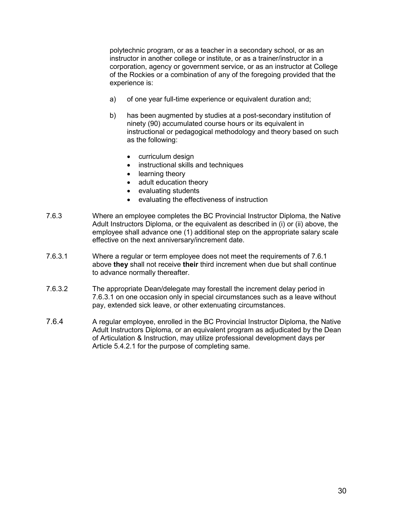polytechnic program, or as a teacher in a secondary school, or as an instructor in another college or institute, or as a trainer/instructor in a corporation, agency or government service, or as an instructor at College of the Rockies or a combination of any of the foregoing provided that the experience is:

- a) of one year full-time experience or equivalent duration and;
- b) has been augmented by studies at a post-secondary institution of ninety (90) accumulated course hours or its equivalent in instructional or pedagogical methodology and theory based on such as the following:
	- curriculum design
	- instructional skills and techniques
	- learning theory
	- adult education theory
	- evaluating students
	- evaluating the effectiveness of instruction
- 7.6.3 Where an employee completes the BC Provincial Instructor Diploma, the Native Adult Instructors Diploma, or the equivalent as described in (i) or (ii) above, the employee shall advance one (1) additional step on the appropriate salary scale effective on the next anniversary/increment date.
- 7.6.3.1 Where a regular or term employee does not meet the requirements of 7.6.1 above **they** shall not receive **their** third increment when due but shall continue to advance normally thereafter.
- 7.6.3.2 The appropriate Dean/delegate may forestall the increment delay period in 7.6.3.1 on one occasion only in special circumstances such as a leave without pay, extended sick leave, or other extenuating circumstances.
- 7.6.4 A regular employee, enrolled in the BC Provincial Instructor Diploma, the Native Adult Instructors Diploma, or an equivalent program as adjudicated by the Dean of Articulation & Instruction, may utilize professional development days per Article 5.4.2.1 for the purpose of completing same.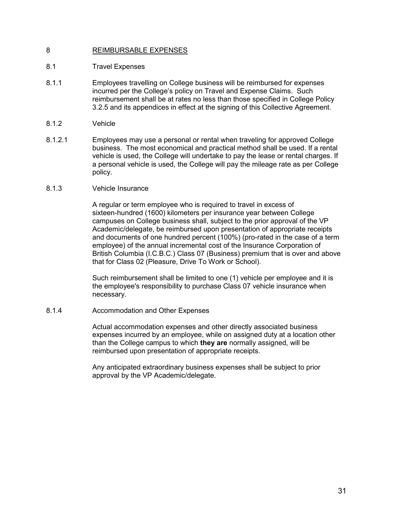# <span id="page-35-0"></span>8 REIMBURSABLE EXPENSES

## <span id="page-35-1"></span>8.1 Travel Expenses

- 8.1.1 Employees travelling on College business will be reimbursed for expenses incurred per the College's policy on Travel and Expense Claims. Such reimbursement shall be at rates no less than those specified in College Policy 3.2.5 and its appendices in effect at the signing of this Collective Agreement.
- 8.1.2 Vehicle
- 8.1.2.1 Employees may use a personal or rental when traveling for approved College business. The most economical and practical method shall be used. If a rental vehicle is used, the College will undertake to pay the lease or rental charges. If a personal vehicle is used, the College will pay the mileage rate as per College policy.

#### 8.1.3 Vehicle Insurance

A regular or term employee who is required to travel in excess of sixteen-hundred (1600) kilometers per insurance year between College campuses on College business shall, subject to the prior approval of the VP Academic/delegate, be reimbursed upon presentation of appropriate receipts and documents of one hundred percent (100%) (pro-rated in the case of a term employee) of the annual incremental cost of the Insurance Corporation of British Columbia (I.C.B.C.) Class 07 (Business) premium that is over and above that for Class 02 (Pleasure, Drive To Work or School).

Such reimbursement shall be limited to one (1) vehicle per employee and it is the employee's responsibility to purchase Class 07 vehicle insurance when necessary.

#### 8.1.4 Accommodation and Other Expenses

Actual accommodation expenses and other directly associated business expenses incurred by an employee, while on assigned duty at a location other than the College campus to which **they are** normally assigned, will be reimbursed upon presentation of appropriate receipts.

Any anticipated extraordinary business expenses shall be subject to prior approval by the VP Academic/delegate.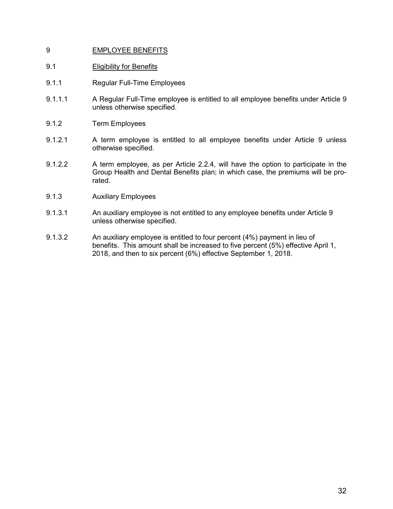## 9 EMPLOYEE BENEFITS

## 9.1 Eligibility for Benefits

- 9.1.1 Regular Full-Time Employees
- 9.1.1.1 A Regular Full-Time employee is entitled to all employee benefits under Article 9 unless otherwise specified.
- 9.1.2 Term Employees
- 9.1.2.1 A term employee is entitled to all employee benefits under Article 9 unless otherwise specified.
- 9.1.2.2 A term employee, as per Article 2.2.4, will have the option to participate in the Group Health and Dental Benefits plan; in which case, the premiums will be prorated.
- 9.1.3 Auxiliary Employees
- 9.1.3.1 An auxiliary employee is not entitled to any employee benefits under Article 9 unless otherwise specified.
- 9.1.3.2 An auxiliary employee is entitled to four percent (4%) payment in lieu of benefits. This amount shall be increased to five percent (5%) effective April 1, 2018, and then to six percent (6%) effective September 1, 2018.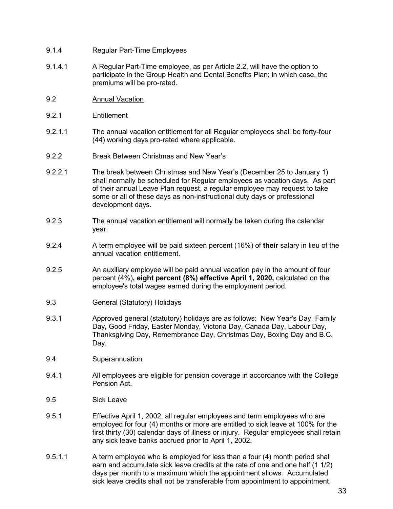- 9.1.4 Regular Part-Time Employees
- 9.1.4.1 A Regular Part-Time employee, as per Article 2.2, will have the option to participate in the Group Health and Dental Benefits Plan; in which case, the premiums will be pro-rated.
- 9.2 Annual Vacation
- 9.2.1 Entitlement
- 9.2.1.1 The annual vacation entitlement for all Regular employees shall be forty-four (44) working days pro-rated where applicable.
- 9.2.2 Break Between Christmas and New Year's
- 9.2.2.1 The break between Christmas and New Year's (December 25 to January 1) shall normally be scheduled for Regular employees as vacation days. As part of their annual Leave Plan request, a regular employee may request to take some or all of these days as non-instructional duty days or professional development days.
- 9.2.3 The annual vacation entitlement will normally be taken during the calendar year.
- 9.2.4 A term employee will be paid sixteen percent (16%) of **their** salary in lieu of the annual vacation entitlement.
- 9.2.5 An auxiliary employee will be paid annual vacation pay in the amount of four percent (4%)**, eight percent (8%) effective April 1, 2020,** calculated on the employee's total wages earned during the employment period.
- 9.3 General (Statutory) Holidays
- 9.3.1 Approved general (statutory) holidays are as follows: New Year's Day, Family Day**,** Good Friday, Easter Monday, Victoria Day, Canada Day, Labour Day, Thanksgiving Day, Remembrance Day, Christmas Day, Boxing Day and B.C. Day.
- 9.4 Superannuation
- 9.4.1 All employees are eligible for pension coverage in accordance with the College Pension Act.
- 9.5 Sick Leave
- 9.5.1 Effective April 1, 2002, all regular employees and term employees who are employed for four (4) months or more are entitled to sick leave at 100% for the first thirty (30) calendar days of illness or injury. Regular employees shall retain any sick leave banks accrued prior to April 1, 2002.
- 9.5.1.1 A term employee who is employed for less than a four (4) month period shall earn and accumulate sick leave credits at the rate of one and one half (1 1/2) days per month to a maximum which the appointment allows. Accumulated sick leave credits shall not be transferable from appointment to appointment.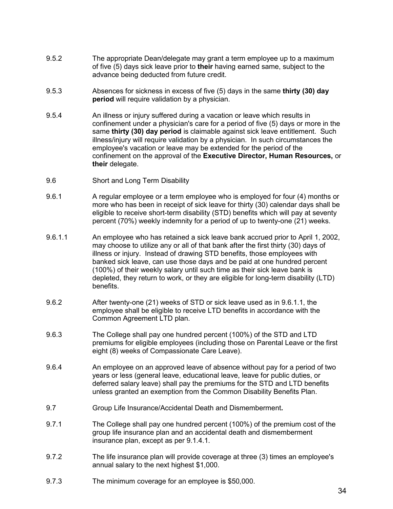- 9.5.2 The appropriate Dean/delegate may grant a term employee up to a maximum of five (5) days sick leave prior to **their** having earned same, subject to the advance being deducted from future credit.
- 9.5.3 Absences for sickness in excess of five (5) days in the same **thirty (30) day period** will require validation by a physician.
- 9.5.4 An illness or injury suffered during a vacation or leave which results in confinement under a physician's care for a period of five (5) days or more in the same **thirty (30) day period** is claimable against sick leave entitlement. Such illness/injury will require validation by a physician. In such circumstances the employee's vacation or leave may be extended for the period of the confinement on the approval of the **Executive Director, Human Resources,** or **their** delegate.
- 9.6 Short and Long Term Disability
- 9.6.1 A regular employee or a term employee who is employed for four (4) months or more who has been in receipt of sick leave for thirty (30) calendar days shall be eligible to receive short-term disability (STD) benefits which will pay at seventy percent (70%) weekly indemnity for a period of up to twenty-one (21) weeks.
- 9.6.1.1 An employee who has retained a sick leave bank accrued prior to April 1, 2002, may choose to utilize any or all of that bank after the first thirty (30) days of illness or injury. Instead of drawing STD benefits, those employees with banked sick leave, can use those days and be paid at one hundred percent (100%) of their weekly salary until such time as their sick leave bank is depleted, they return to work, or they are eligible for long-term disability (LTD) benefits.
- 9.6.2 After twenty-one (21) weeks of STD or sick leave used as in 9.6.1.1, the employee shall be eligible to receive LTD benefits in accordance with the Common Agreement LTD plan.
- 9.6.3 The College shall pay one hundred percent (100%) of the STD and LTD premiums for eligible employees (including those on Parental Leave or the first eight (8) weeks of Compassionate Care Leave).
- 9.6.4 An employee on an approved leave of absence without pay for a period of two years or less (general leave, educational leave, leave for public duties, or deferred salary leave) shall pay the premiums for the STD and LTD benefits unless granted an exemption from the Common Disability Benefits Plan.
- 9.7 Group Life Insurance/Accidental Death and Dismemberment**.**
- 9.7.1 The College shall pay one hundred percent (100%) of the premium cost of the group life insurance plan and an accidental death and dismemberment insurance plan, except as per 9.1.4.1.
- 9.7.2 The life insurance plan will provide coverage at three (3) times an employee's annual salary to the next highest \$1,000.
- 9.7.3 The minimum coverage for an employee is \$50,000.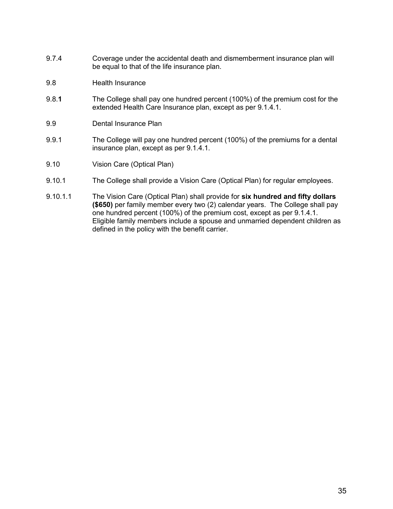- 9.7.4 Coverage under the accidental death and dismemberment insurance plan will be equal to that of the life insurance plan.
- 9.8 Health Insurance
- 9.8.**1** The College shall pay one hundred percent (100%) of the premium cost for the extended Health Care Insurance plan, except as per 9.1.4.1.
- 9.9 Dental Insurance Plan
- 9.9.1 The College will pay one hundred percent (100%) of the premiums for a dental insurance plan, except as per 9.1.4.1.
- 9.10 Vision Care (Optical Plan)
- 9.10.1 The College shall provide a Vision Care (Optical Plan) for regular employees.
- 9.10.1.1 The Vision Care (Optical Plan) shall provide for **six hundred and fifty dollars (\$650)** per family member every two (2) calendar years. The College shall pay one hundred percent (100%) of the premium cost, except as per 9.1.4.1. Eligible family members include a spouse and unmarried dependent children as defined in the policy with the benefit carrier.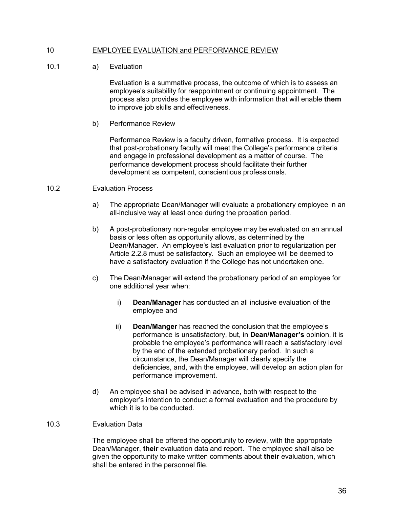## 10 EMPLOYEE EVALUATION and PERFORMANCE REVIEW

10.1 a) Evaluation

Evaluation is a summative process, the outcome of which is to assess an employee's suitability for reappointment or continuing appointment. The process also provides the employee with information that will enable **them**  to improve job skills and effectiveness.

b) Performance Review

Performance Review is a faculty driven, formative process. It is expected that post-probationary faculty will meet the College's performance criteria and engage in professional development as a matter of course. The performance development process should facilitate their further development as competent, conscientious professionals.

## 10.2 Evaluation Process

- a) The appropriate Dean/Manager will evaluate a probationary employee in an all-inclusive way at least once during the probation period.
- b) A post-probationary non-regular employee may be evaluated on an annual basis or less often as opportunity allows, as determined by the Dean/Manager. An employee's last evaluation prior to regularization per Article 2.2.8 must be satisfactory. Such an employee will be deemed to have a satisfactory evaluation if the College has not undertaken one.
- c) The Dean/Manager will extend the probationary period of an employee for one additional year when:
	- i) **Dean/Manager** has conducted an all inclusive evaluation of the employee and
	- ii) **Dean/Manger** has reached the conclusion that the employee's performance is unsatisfactory, but, in **Dean/Manager's** opinion, it is probable the employee's performance will reach a satisfactory level by the end of the extended probationary period. In such a circumstance, the Dean/Manager will clearly specify the deficiencies, and, with the employee, will develop an action plan for performance improvement.
- d) An employee shall be advised in advance, both with respect to the employer's intention to conduct a formal evaluation and the procedure by which it is to be conducted.

### 10.3 Evaluation Data

The employee shall be offered the opportunity to review, with the appropriate Dean/Manager, **their** evaluation data and report. The employee shall also be given the opportunity to make written comments about **their** evaluation, which shall be entered in the personnel file.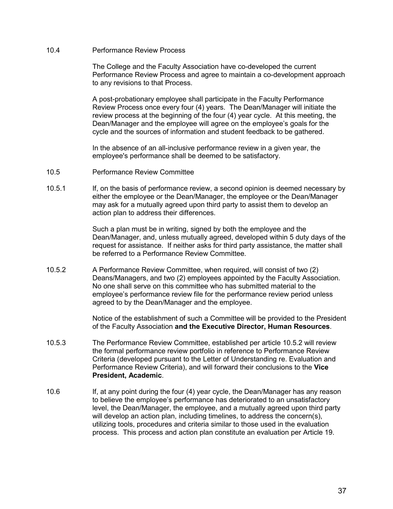10.4 Performance Review Process

The College and the Faculty Association have co-developed the current Performance Review Process and agree to maintain a co-development approach to any revisions to that Process.

A post-probationary employee shall participate in the Faculty Performance Review Process once every four (4) years. The Dean/Manager will initiate the review process at the beginning of the four (4) year cycle. At this meeting, the Dean/Manager and the employee will agree on the employee's goals for the cycle and the sources of information and student feedback to be gathered.

In the absence of an all-inclusive performance review in a given year, the employee's performance shall be deemed to be satisfactory.

- 10.5 Performance Review Committee
- 10.5.1 If, on the basis of performance review, a second opinion is deemed necessary by either the employee or the Dean/Manager, the employee or the Dean/Manager may ask for a mutually agreed upon third party to assist them to develop an action plan to address their differences.

Such a plan must be in writing, signed by both the employee and the Dean/Manager, and, unless mutually agreed, developed within 5 duty days of the request for assistance. If neither asks for third party assistance, the matter shall be referred to a Performance Review Committee.

10.5.2 A Performance Review Committee, when required, will consist of two (2) Deans/Managers, and two (2) employees appointed by the Faculty Association. No one shall serve on this committee who has submitted material to the employee's performance review file for the performance review period unless agreed to by the Dean/Manager and the employee.

> Notice of the establishment of such a Committee will be provided to the President of the Faculty Association **and the Executive Director, Human Resources**.

- 10.5.3 The Performance Review Committee, established per article 10.5.2 will review the formal performance review portfolio in reference to Performance Review Criteria (developed pursuant to the Letter of Understanding re. Evaluation and Performance Review Criteria), and will forward their conclusions to the **Vice President, Academic**.
- 10.6 If, at any point during the four (4) year cycle, the Dean/Manager has any reason to believe the employee's performance has deteriorated to an unsatisfactory level, the Dean/Manager, the employee, and a mutually agreed upon third party will develop an action plan, including timelines, to address the concern(s), utilizing tools, procedures and criteria similar to those used in the evaluation process. This process and action plan constitute an evaluation per Article 19.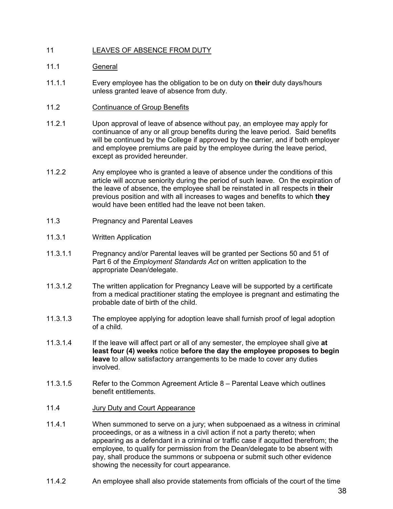## 11 LEAVES OF ABSENCE FROM DUTY

## 11.1 General

- 11.1.1 Every employee has the obligation to be on duty on **their** duty days/hours unless granted leave of absence from duty.
- 11.2 Continuance of Group Benefits
- 11.2.1 Upon approval of leave of absence without pay, an employee may apply for continuance of any or all group benefits during the leave period. Said benefits will be continued by the College if approved by the carrier, and if both employer and employee premiums are paid by the employee during the leave period, except as provided hereunder.
- 11.2.2 Any employee who is granted a leave of absence under the conditions of this article will accrue seniority during the period of such leave. On the expiration of the leave of absence, the employee shall be reinstated in all respects in **their** previous position and with all increases to wages and benefits to which **they** would have been entitled had the leave not been taken.
- 11.3 Pregnancy and Parental Leaves
- 11.3.1 Written Application
- 11.3.1.1 Pregnancy and/or Parental leaves will be granted per Sections 50 and 51 of Part 6 of the *Employment Standards Act* on written application to the appropriate Dean/delegate.
- 11.3.1.2 The written application for Pregnancy Leave will be supported by a certificate from a medical practitioner stating the employee is pregnant and estimating the probable date of birth of the child.
- 11.3.1.3 The employee applying for adoption leave shall furnish proof of legal adoption of a child.
- 11.3.1.4 If the leave will affect part or all of any semester, the employee shall give **at least four (4) weeks** notice **before the day the employee proposes to begin leave** to allow satisfactory arrangements to be made to cover any duties involved.
- 11.3.1.5 Refer to the Common Agreement Article 8 Parental Leave which outlines benefit entitlements.
- 11.4 Jury Duty and Court Appearance
- 11.4.1 When summoned to serve on a jury; when subpoenaed as a witness in criminal proceedings, or as a witness in a civil action if not a party thereto; when appearing as a defendant in a criminal or traffic case if acquitted therefrom; the employee, to qualify for permission from the Dean/delegate to be absent with pay, shall produce the summons or subpoena or submit such other evidence showing the necessity for court appearance.
- 11.4.2 An employee shall also provide statements from officials of the court of the time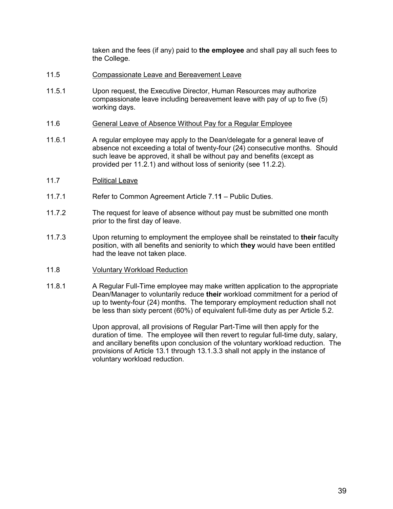taken and the fees (if any) paid to **the employee** and shall pay all such fees to the College.

- 11.5 Compassionate Leave and Bereavement Leave
- 11.5.1 Upon request, the Executive Director, Human Resources may authorize compassionate leave including bereavement leave with pay of up to five (5) working days.
- 11.6 General Leave of Absence Without Pay for a Regular Employee
- 11.6.1 A regular employee may apply to the Dean/delegate for a general leave of absence not exceeding a total of twenty-four (24) consecutive months. Should such leave be approved, it shall be without pay and benefits (except as provided per 11.2.1) and without loss of seniority (see 11.2.2).
- 11.7 Political Leave
- 11.7.1 Refer to Common Agreement Article 7.1**1** Public Duties.
- 11.7.2 The request for leave of absence without pay must be submitted one month prior to the first day of leave.
- 11.7.3 Upon returning to employment the employee shall be reinstated to **their** faculty position, with all benefits and seniority to which **they** would have been entitled had the leave not taken place.
- 11.8 Voluntary Workload Reduction
- 11.8.1 A Regular Full-Time employee may make written application to the appropriate Dean/Manager to voluntarily reduce **their** workload commitment for a period of up to twenty-four (24) months. The temporary employment reduction shall not be less than sixty percent (60%) of equivalent full-time duty as per Article 5.2.

Upon approval, all provisions of Regular Part-Time will then apply for the duration of time. The employee will then revert to regular full-time duty, salary, and ancillary benefits upon conclusion of the voluntary workload reduction. The provisions of Article 13.1 through 13.1.3.3 shall not apply in the instance of voluntary workload reduction.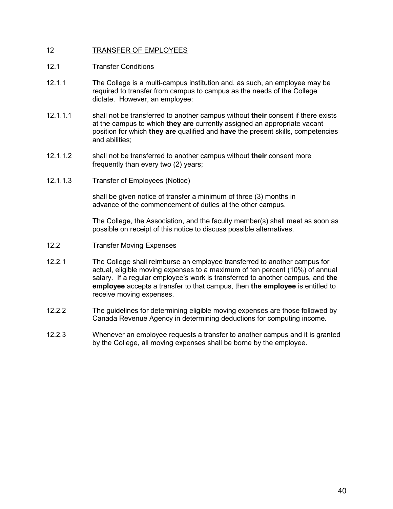## 12 TRANSFER OF EMPLOYEES

- 12.1 Transfer Conditions
- 12.1.1 The College is a multi-campus institution and, as such, an employee may be required to transfer from campus to campus as the needs of the College dictate. However, an employee:
- 12.1.1.1 shall not be transferred to another campus without **their** consent if there exists at the campus to which **they are** currently assigned an appropriate vacant position for which **they are** qualified and **have** the present skills, competencies and abilities;
- 12.1.1.2 shall not be transferred to another campus without **their** consent more frequently than every two (2) years;
- 12.1.1.3 Transfer of Employees (Notice)

shall be given notice of transfer a minimum of three (3) months in advance of the commencement of duties at the other campus.

The College, the Association, and the faculty member(s) shall meet as soon as possible on receipt of this notice to discuss possible alternatives.

- 12.2 Transfer Moving Expenses
- 12.2.1 The College shall reimburse an employee transferred to another campus for actual, eligible moving expenses to a maximum of ten percent (10%) of annual salary. If a regular employee's work is transferred to another campus, and **the employee** accepts a transfer to that campus, then **the employee** is entitled to receive moving expenses.
- 12.2.2 The guidelines for determining eligible moving expenses are those followed by Canada Revenue Agency in determining deductions for computing income.
- 12.2.3 Whenever an employee requests a transfer to another campus and it is granted by the College, all moving expenses shall be borne by the employee.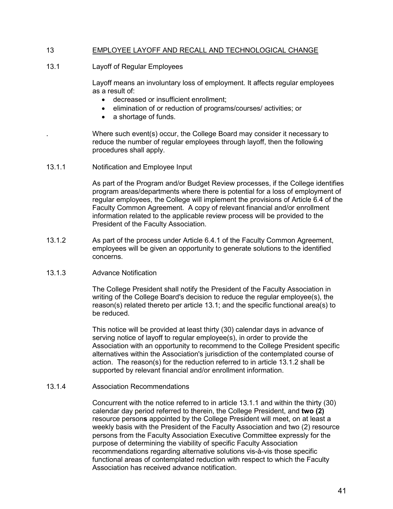## 13 EMPLOYEE LAYOFF AND RECALL AND TECHNOLOGICAL CHANGE

## 13.1 Layoff of Regular Employees

Layoff means an involuntary loss of employment. It affects regular employees as a result of:

- decreased or insufficient enrollment;
- elimination of or reduction of programs/courses/ activities; or
- a shortage of funds.

Where such event(s) occur, the College Board may consider it necessary to reduce the number of regular employees through layoff, then the following procedures shall apply.

13.1.1 Notification and Employee Input

As part of the Program and/or Budget Review processes, if the College identifies program areas/departments where there is potential for a loss of employment of regular employees, the College will implement the provisions of Article 6.4 of the Faculty Common Agreement. A copy of relevant financial and/or enrollment information related to the applicable review process will be provided to the President of the Faculty Association.

13.1.2 As part of the process under Article 6.4.1 of the Faculty Common Agreement, employees will be given an opportunity to generate solutions to the identified concerns.

## 13.1.3 Advance Notification

The College President shall notify the President of the Faculty Association in writing of the College Board's decision to reduce the regular employee(s), the reason(s) related thereto per article 13.1; and the specific functional area(s) to be reduced.

This notice will be provided at least thirty (30) calendar days in advance of serving notice of layoff to regular employee(s), in order to provide the Association with an opportunity to recommend to the College President specific alternatives within the Association's jurisdiction of the contemplated course of action. The reason(s) for the reduction referred to in article 13.1.2 shall be supported by relevant financial and/or enrollment information.

## 13.1.4 Association Recommendations

Concurrent with the notice referred to in article 13.1.1 and within the thirty (30) calendar day period referred to therein, the College President, and **two (2)** resource person**s** appointed by the College President will meet, on at least a weekly basis with the President of the Faculty Association and two (2) resource persons from the Faculty Association Executive Committee expressly for the purpose of determining the viability of specific Faculty Association recommendations regarding alternative solutions vis-à-vis those specific functional areas of contemplated reduction with respect to which the Faculty Association has received advance notification.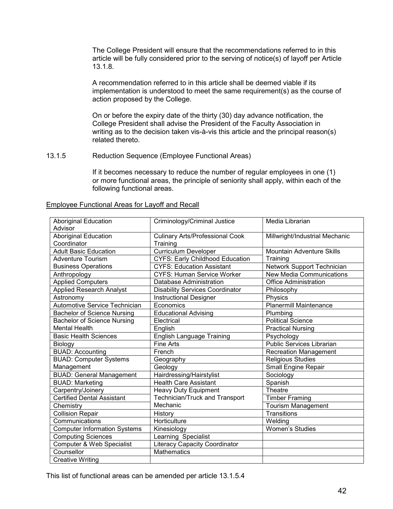The College President will ensure that the recommendations referred to in this article will be fully considered prior to the serving of notice(s) of layoff per Article 13.1.8.

A recommendation referred to in this article shall be deemed viable if its implementation is understood to meet the same requirement(s) as the course of action proposed by the College.

On or before the expiry date of the thirty (30) day advance notification, the College President shall advise the President of the Faculty Association in writing as to the decision taken vis-à-vis this article and the principal reason(s) related thereto.

## 13.1.5 Reduction Sequence (Employee Functional Areas)

If it becomes necessary to reduce the number of regular employees in one (1) or more functional areas, the principle of seniority shall apply, within each of the following functional areas.

| <b>Aboriginal Education</b>          | Criminology/Criminal Justice           | Media Librarian                  |
|--------------------------------------|----------------------------------------|----------------------------------|
| Advisor                              |                                        |                                  |
| <b>Aboriginal Education</b>          | <b>Culinary Arts/Professional Cook</b> | Millwright/Industrial Mechanic   |
| Coordinator                          | Training                               |                                  |
| <b>Adult Basic Education</b>         | <b>Curriculum Developer</b>            | Mountain Adventure Skills        |
| <b>Adventure Tourism</b>             | <b>CYFS: Early Childhood Education</b> | Training                         |
| <b>Business Operations</b>           | <b>CYFS: Education Assistant</b>       | Network Support Technician       |
| Anthropology                         | <b>CYFS: Human Service Worker</b>      | <b>New Media Communications</b>  |
| <b>Applied Computers</b>             | Database Administration                | <b>Office Administration</b>     |
| <b>Applied Research Analyst</b>      | <b>Disability Services Coordinator</b> | Philosophy                       |
| Astronomy                            | <b>Instructional Designer</b>          | Physics                          |
| Automotive Service Technician        | Economics                              | <b>Planermill Maintenance</b>    |
| <b>Bachelor of Science Nursing</b>   | <b>Educational Advising</b>            | Plumbing                         |
| <b>Bachelor of Science Nursing</b>   | Electrical                             | <b>Political Science</b>         |
| <b>Mental Health</b>                 | English                                | <b>Practical Nursing</b>         |
| <b>Basic Health Sciences</b>         | <b>English Language Training</b>       | Psychology                       |
| Biology                              | <b>Fine Arts</b>                       | <b>Public Services Librarian</b> |
| <b>BUAD: Accounting</b>              | French                                 | <b>Recreation Management</b>     |
| <b>BUAD: Computer Systems</b>        | Geography                              | <b>Religious Studies</b>         |
| Management                           | Geology                                | <b>Small Engine Repair</b>       |
| <b>BUAD: General Management</b>      | Hairdressing/Hairstylist               | Sociology                        |
| <b>BUAD: Marketing</b>               | <b>Health Care Assistant</b>           | Spanish                          |
| Carpentry/Joinery                    | <b>Heavy Duty Equipment</b>            | Theatre                          |
| <b>Certified Dental Assistant</b>    | Technician/Truck and Transport         | <b>Timber Framing</b>            |
| Chemistry                            | Mechanic                               | <b>Tourism Management</b>        |
| <b>Collision Repair</b>              | History                                | Transitions                      |
| Communications                       | Horticulture                           | Welding                          |
| <b>Computer Information Systems</b>  | Kinesiology                            | <b>Women's Studies</b>           |
| <b>Computing Sciences</b>            | Learning Specialist                    |                                  |
| <b>Computer &amp; Web Specialist</b> | <b>Literacy Capacity Coordinator</b>   |                                  |
| Counsellor                           | <b>Mathematics</b>                     |                                  |
| <b>Creative Writing</b>              |                                        |                                  |

#### Employee Functional Areas for Layoff and Recall

This list of functional areas can be amended per article 13.1.5.4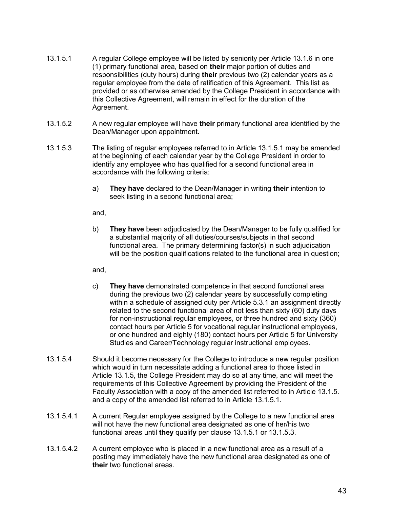- 13.1.5.1 A regular College employee will be listed by seniority per Article 13.1.6 in one (1) primary functional area, based on **their** major portion of duties and responsibilities (duty hours) during **their** previous two (2) calendar years as a regular employee from the date of ratification of this Agreement. This list as provided or as otherwise amended by the College President in accordance with this Collective Agreement, will remain in effect for the duration of the Agreement.
- 13.1.5.2 A new regular employee will have **their** primary functional area identified by the Dean/Manager upon appointment.
- 13.1.5.3 The listing of regular employees referred to in Article 13.1.5.1 may be amended at the beginning of each calendar year by the College President in order to identify any employee who has qualified for a second functional area in accordance with the following criteria:
	- a) **They have** declared to the Dean/Manager in writing **their** intention to seek listing in a second functional area;

and,

b) **They have** been adjudicated by the Dean/Manager to be fully qualified for a substantial majority of all duties/courses/subjects in that second functional area. The primary determining factor(s) in such adjudication will be the position qualifications related to the functional area in question;

and,

- c) **They have** demonstrated competence in that second functional area during the previous two (2) calendar years by successfully completing within a schedule of assigned duty per Article 5.3.1 an assignment directly related to the second functional area of not less than sixty (60) duty days for non-instructional regular employees, or three hundred and sixty (360) contact hours per Article 5 for vocational regular instructional employees, or one hundred and eighty (180) contact hours per Article 5 for University Studies and Career/Technology regular instructional employees.
- 13.1.5.4 Should it become necessary for the College to introduce a new regular position which would in turn necessitate adding a functional area to those listed in Article 13.1.5, the College President may do so at any time, and will meet the requirements of this Collective Agreement by providing the President of the Faculty Association with a copy of the amended list referred to in Article 13.1.5. and a copy of the amended list referred to in Article 13.1.5.1.
- 13.1.5.4.1 A current Regular employee assigned by the College to a new functional area will not have the new functional area designated as one of her/his two functional areas until **they** qualif**y** per clause 13.1.5.1 or 13.1.5.3.
- 13.1.5.4.2 A current employee who is placed in a new functional area as a result of a posting may immediately have the new functional area designated as one of **their** two functional areas.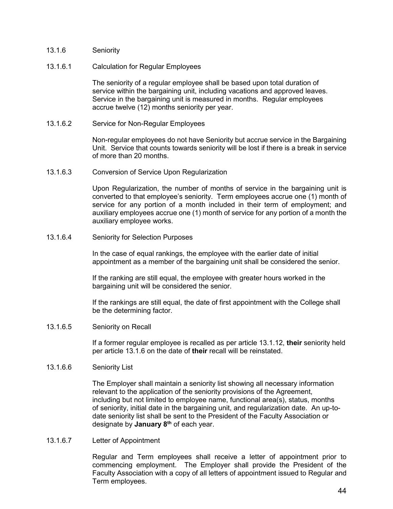- 13.1.6 Seniority
- 13.1.6.1 Calculation for Regular Employees

The seniority of a regular employee shall be based upon total duration of service within the bargaining unit, including vacations and approved leaves. Service in the bargaining unit is measured in months. Regular employees accrue twelve (12) months seniority per year.

13.1.6.2 Service for Non-Regular Employees

Non-regular employees do not have Seniority but accrue service in the Bargaining Unit. Service that counts towards seniority will be lost if there is a break in service of more than 20 months.

13.1.6.3 Conversion of Service Upon Regularization

Upon Regularization, the number of months of service in the bargaining unit is converted to that employee's seniority. Term employees accrue one (1) month of service for any portion of a month included in their term of employment; and auxiliary employees accrue one (1) month of service for any portion of a month the auxiliary employee works.

13.1.6.4 Seniority for Selection Purposes

In the case of equal rankings, the employee with the earlier date of initial appointment as a member of the bargaining unit shall be considered the senior.

If the ranking are still equal, the employee with greater hours worked in the bargaining unit will be considered the senior.

If the rankings are still equal, the date of first appointment with the College shall be the determining factor.

13.1.6.5 Seniority on Recall

If a former regular employee is recalled as per article 13.1.12, **their** seniority held per article 13.1.6 on the date of **their** recall will be reinstated.

#### 13.1.6.6 Seniority List

The Employer shall maintain a seniority list showing all necessary information relevant to the application of the seniority provisions of the Agreement, including but not limited to employee name, functional area(s), status, months of seniority, initial date in the bargaining unit, and regularization date. An up-todate seniority list shall be sent to the President of the Faculty Association or designate by **January 8th** of each year.

13.1.6.7 Letter of Appointment

Regular and Term employees shall receive a letter of appointment prior to commencing employment. The Employer shall provide the President of the Faculty Association with a copy of all letters of appointment issued to Regular and Term employees.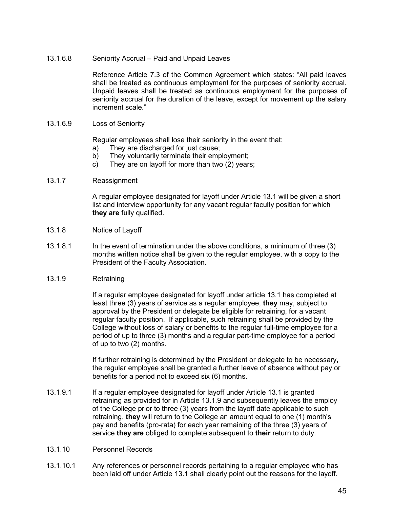13.1.6.8 Seniority Accrual – Paid and Unpaid Leaves

Reference Article 7.3 of the Common Agreement which states: "All paid leaves shall be treated as continuous employment for the purposes of seniority accrual. Unpaid leaves shall be treated as continuous employment for the purposes of seniority accrual for the duration of the leave, except for movement up the salary increment scale."

13.1.6.9 Loss of Seniority

Regular employees shall lose their seniority in the event that:

- a) They are discharged for just cause;
- b) They voluntarily terminate their employment;
- c) They are on layoff for more than two (2) years;
- 13.1.7 Reassignment

A regular employee designated for layoff under Article 13.1 will be given a short list and interview opportunity for any vacant regular faculty position for which **they are** fully qualified.

- 13.1.8 Notice of Layoff
- 13.1.8.1 In the event of termination under the above conditions, a minimum of three (3) months written notice shall be given to the regular employee, with a copy to the President of the Faculty Association.
- 13.1.9 Retraining

If a regular employee designated for layoff under article 13.1 has completed at least three (3) years of service as a regular employee, **they** may, subject to approval by the President or delegate be eligible for retraining, for a vacant regular faculty position. If applicable, such retraining shall be provided by the College without loss of salary or benefits to the regular full-time employee for a period of up to three (3) months and a regular part-time employee for a period of up to two (2) months.

If further retraining is determined by the President or delegate to be necessary**,** the regular employee shall be granted a further leave of absence without pay or benefits for a period not to exceed six (6) months.

- 13.1.9.1 If a regular employee designated for layoff under Article 13.1 is granted retraining as provided for in Article 13.1.9 and subsequently leaves the employ of the College prior to three (3) years from the layoff date applicable to such retraining, **they** will return to the College an amount equal to one (1) month's pay and benefits (pro-rata) for each year remaining of the three (3) years of service **they are** obliged to complete subsequent to **their** return to duty.
- 13.1.10 Personnel Records
- 13.1.10.1 Any references or personnel records pertaining to a regular employee who has been laid off under Article 13.1 shall clearly point out the reasons for the layoff.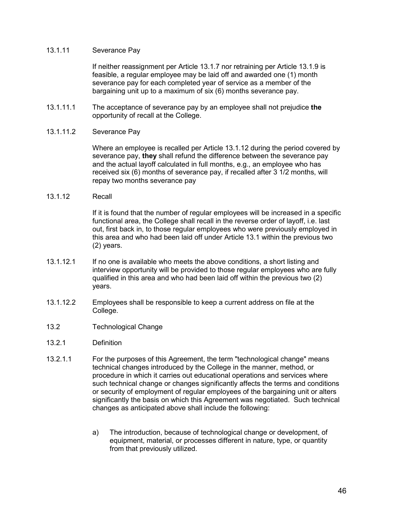### 13.1.11 Severance Pay

If neither reassignment per Article 13.1.7 nor retraining per Article 13.1.9 is feasible, a regular employee may be laid off and awarded one (1) month severance pay for each completed year of service as a member of the bargaining unit up to a maximum of six (6) months severance pay.

13.1.11.1 The acceptance of severance pay by an employee shall not prejudice **the** opportunity of recall at the College.

## 13.1.11.2 Severance Pay

Where an employee is recalled per Article 13.1.12 during the period covered by severance pay, **they** shall refund the difference between the severance pay and the actual layoff calculated in full months, e.g., an employee who has received six (6) months of severance pay, if recalled after 3 1/2 months, will repay two months severance pay

## 13.1.12 Recall

If it is found that the number of regular employees will be increased in a specific functional area, the College shall recall in the reverse order of layoff, i.e. last out, first back in, to those regular employees who were previously employed in this area and who had been laid off under Article 13.1 within the previous two (2) years.

- 13.1.12.1 If no one is available who meets the above conditions, a short listing and interview opportunity will be provided to those regular employees who are fully qualified in this area and who had been laid off within the previous two (2) years.
- 13.1.12.2 Employees shall be responsible to keep a current address on file at the College.
- 13.2 Technological Change
- 13.2.1 Definition
- 13.2.1.1 For the purposes of this Agreement, the term "technological change" means technical changes introduced by the College in the manner, method, or procedure in which it carries out educational operations and services where such technical change or changes significantly affects the terms and conditions or security of employment of regular employees of the bargaining unit or alters significantly the basis on which this Agreement was negotiated. Such technical changes as anticipated above shall include the following:
	- a) The introduction, because of technological change or development, of equipment, material, or processes different in nature, type, or quantity from that previously utilized.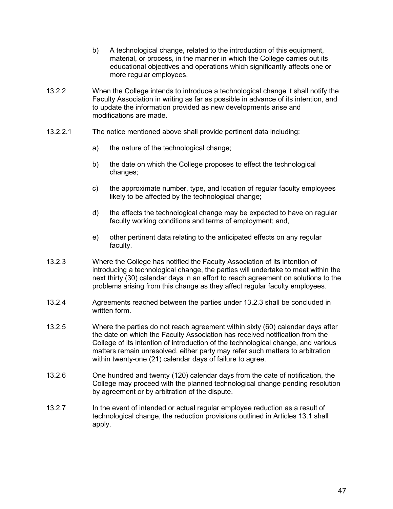- b) A technological change, related to the introduction of this equipment, material, or process, in the manner in which the College carries out its educational objectives and operations which significantly affects one or more regular employees.
- 13.2.2 When the College intends to introduce a technological change it shall notify the Faculty Association in writing as far as possible in advance of its intention, and to update the information provided as new developments arise and modifications are made.
- 13.2.2.1 The notice mentioned above shall provide pertinent data including:
	- a) the nature of the technological change;
	- b) the date on which the College proposes to effect the technological changes;
	- c) the approximate number, type, and location of regular faculty employees likely to be affected by the technological change;
	- d) the effects the technological change may be expected to have on regular faculty working conditions and terms of employment; and,
	- e) other pertinent data relating to the anticipated effects on any regular faculty.
- 13.2.3 Where the College has notified the Faculty Association of its intention of introducing a technological change, the parties will undertake to meet within the next thirty (30) calendar days in an effort to reach agreement on solutions to the problems arising from this change as they affect regular faculty employees.
- 13.2.4 Agreements reached between the parties under 13.2.3 shall be concluded in written form.
- 13.2.5 Where the parties do not reach agreement within sixty (60) calendar days after the date on which the Faculty Association has received notification from the College of its intention of introduction of the technological change, and various matters remain unresolved, either party may refer such matters to arbitration within twenty-one (21) calendar days of failure to agree.
- 13.2.6 One hundred and twenty (120) calendar days from the date of notification, the College may proceed with the planned technological change pending resolution by agreement or by arbitration of the dispute.
- 13.2.7 In the event of intended or actual regular employee reduction as a result of technological change, the reduction provisions outlined in Articles 13.1 shall apply.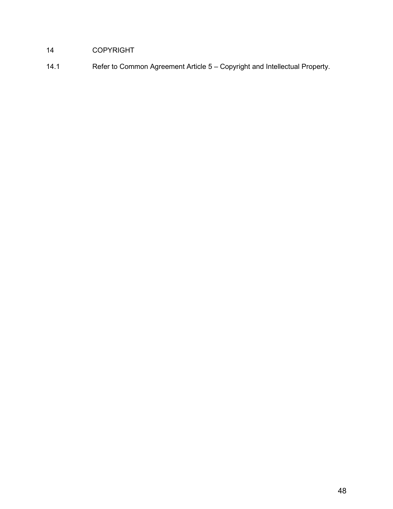# COPYRIGHT

14.1 Refer to Common Agreement Article 5 – Copyright and Intellectual Property.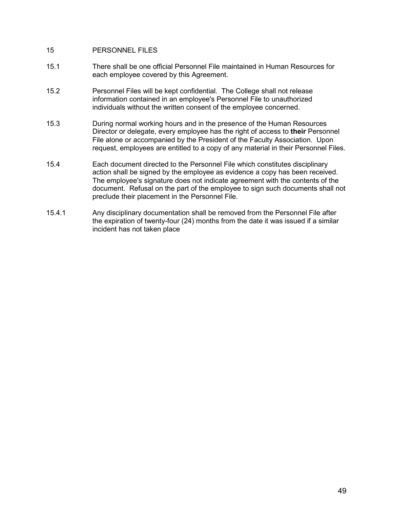## 15 PERSONNEL FILES

- 15.1 There shall be one official Personnel File maintained in Human Resources for each employee covered by this Agreement.
- 15.2 Personnel Files will be kept confidential. The College shall not release information contained in an employee's Personnel File to unauthorized individuals without the written consent of the employee concerned.
- 15.3 During normal working hours and in the presence of the Human Resources Director or delegate, every employee has the right of access to **their** Personnel File alone or accompanied by the President of the Faculty Association. Upon request, employees are entitled to a copy of any material in their Personnel Files.
- 15.4 Each document directed to the Personnel File which constitutes disciplinary action shall be signed by the employee as evidence a copy has been received. The employee's signature does not indicate agreement with the contents of the document. Refusal on the part of the employee to sign such documents shall not preclude their placement in the Personnel File.
- 15.4.1 Any disciplinary documentation shall be removed from the Personnel File after the expiration of twenty-four (24) months from the date it was issued if a similar incident has not taken place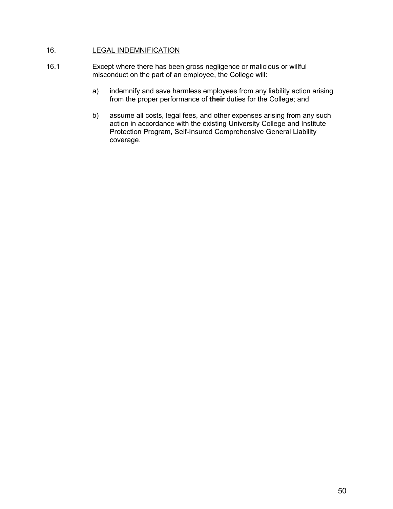## 16. LEGAL INDEMNIFICATION

- 16.1 Except where there has been gross negligence or malicious or willful misconduct on the part of an employee, the College will:
	- a) indemnify and save harmless employees from any liability action arising from the proper performance of **their** duties for the College; and
	- b) assume all costs, legal fees, and other expenses arising from any such action in accordance with the existing University College and Institute Protection Program, Self-Insured Comprehensive General Liability coverage.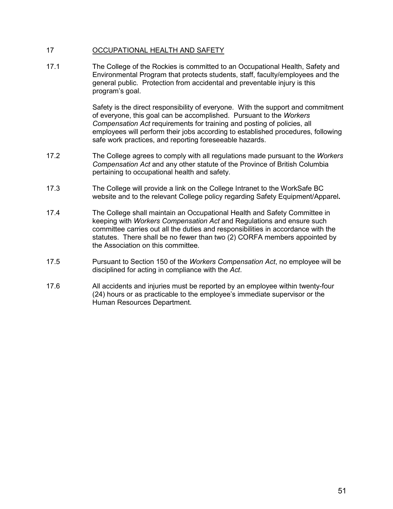## 17 OCCUPATIONAL HEALTH AND SAFETY

17.1 The College of the Rockies is committed to an Occupational Health, Safety and Environmental Program that protects students, staff, faculty/employees and the general public. Protection from accidental and preventable injury is this program's goal.

> Safety is the direct responsibility of everyone. With the support and commitment of everyone, this goal can be accomplished. Pursuant to the *Workers Compensation Act* requirements for training and posting of policies, all employees will perform their jobs according to established procedures, following safe work practices, and reporting foreseeable hazards.

- 17.2 The College agrees to comply with all regulations made pursuant to the *Workers Compensation Act* and any other statute of the Province of British Columbia pertaining to occupational health and safety.
- 17.3 The College will provide a link on the College Intranet to the WorkSafe BC website and to the relevant College policy regarding Safety Equipment/Apparel**.**
- 17.4 The College shall maintain an Occupational Health and Safety Committee in keeping with *Workers Compensation Act* and Regulations and ensure such committee carries out all the duties and responsibilities in accordance with the statutes. There shall be no fewer than two (2) CORFA members appointed by the Association on this committee.
- 17.5 Pursuant to Section 150 of the *Workers Compensation Act*, no employee will be disciplined for acting in compliance with the *Act*.
- 17.6 All accidents and injuries must be reported by an employee within twenty-four (24) hours or as practicable to the employee's immediate supervisor or the Human Resources Department.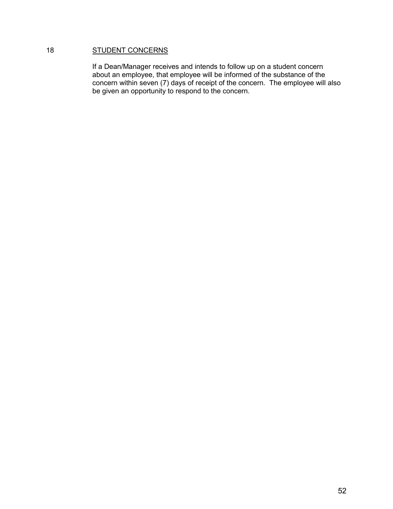## 18 **STUDENT CONCERNS**

If a Dean/Manager receives and intends to follow up on a student concern about an employee, that employee will be informed of the substance of the concern within seven (7) days of receipt of the concern. The employee will also be given an opportunity to respond to the concern.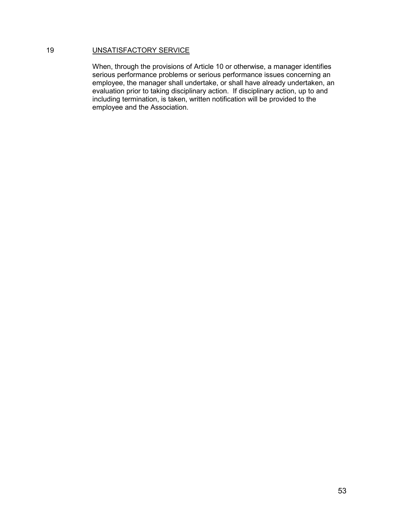## 19 UNSATISFACTORY SERVICE

When, through the provisions of Article 10 or otherwise, a manager identifies serious performance problems or serious performance issues concerning an employee, the manager shall undertake, or shall have already undertaken, an evaluation prior to taking disciplinary action. If disciplinary action, up to and including termination, is taken, written notification will be provided to the employee and the Association.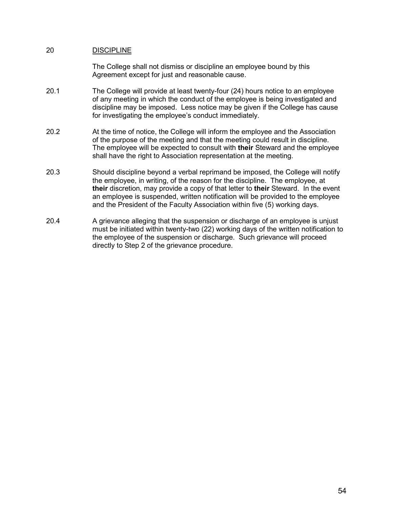## 20 DISCIPLINE

The College shall not dismiss or discipline an employee bound by this Agreement except for just and reasonable cause.

- 20.1 The College will provide at least twenty-four (24) hours notice to an employee of any meeting in which the conduct of the employee is being investigated and discipline may be imposed. Less notice may be given if the College has cause for investigating the employee's conduct immediately.
- 20.2 At the time of notice, the College will inform the employee and the Association of the purpose of the meeting and that the meeting could result in discipline. The employee will be expected to consult with **their** Steward and the employee shall have the right to Association representation at the meeting.
- 20.3 Should discipline beyond a verbal reprimand be imposed, the College will notify the employee, in writing, of the reason for the discipline. The employee, at **their** discretion, may provide a copy of that letter to **their** Steward. In the event an employee is suspended, written notification will be provided to the employee and the President of the Faculty Association within five (5) working days.
- 20.4 A grievance alleging that the suspension or discharge of an employee is unjust must be initiated within twenty-two (22) working days of the written notification to the employee of the suspension or discharge. Such grievance will proceed directly to Step 2 of the grievance procedure.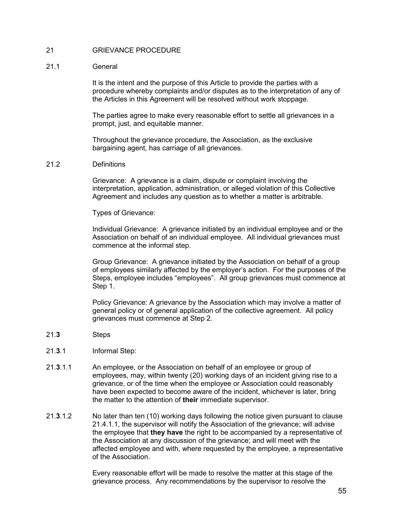## 21 GRIEVANCE PROCEDURE

#### 21.1 General

It is the intent and the purpose of this Article to provide the parties with a procedure whereby complaints and/or disputes as to the interpretation of any of the Articles in this Agreement will be resolved without work stoppage.

The parties agree to make every reasonable effort to settle all grievances in a prompt, just, and equitable manner.

Throughout the grievance procedure, the Association, as the exclusive bargaining agent, has carriage of all grievances.

#### 21.2 Definitions

Grievance: A grievance is a claim, dispute or complaint involving the interpretation, application, administration, or alleged violation of this Collective Agreement and includes any question as to whether a matter is arbitrable.

#### Types of Grievance:

Individual Grievance: A grievance initiated by an individual employee and or the Association on behalf of an individual employee. All individual grievances must commence at the informal step.

Group Grievance: A grievance initiated by the Association on behalf of a group of employees similarly affected by the employer's action. For the purposes of the Steps, employee includes "employees". All group grievances must commence at Step 1.

Policy Grievance: A grievance by the Association which may involve a matter of general policy or of general application of the collective agreement. All policy grievances must commence at Step 2.

- 21.**3** Steps
- 21.**3**.1 Informal Step:
- 21.**3**.1.1 An employee, or the Association on behalf of an employee or group of employees, may, within twenty (20) working days of an incident giving rise to a grievance, or of the time when the employee or Association could reasonably have been expected to become aware of the incident, whichever is later, bring the matter to the attention of **their** immediate supervisor.
- 21.**3**.1.2 No later than ten (10) working days following the notice given pursuant to clause 21.4.1.1, the supervisor will notify the Association of the grievance; will advise the employee that **they have** the right to be accompanied by a representative of the Association at any discussion of the grievance; and will meet with the affected employee and with, where requested by the employee, a representative of the Association.

Every reasonable effort will be made to resolve the matter at this stage of the grievance process. Any recommendations by the supervisor to resolve the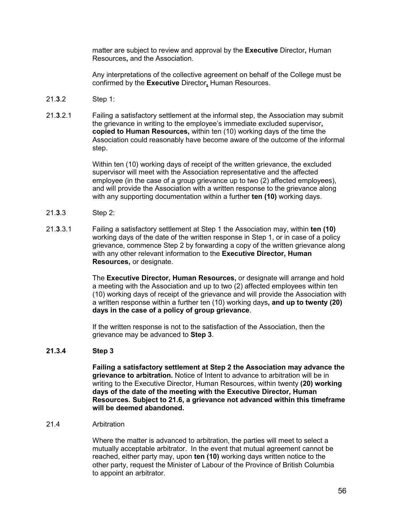matter are subject to review and approval by the **Executive** Director**,** Human Resources**,** and the Association.

Any interpretations of the collective agreement on behalf of the College must be confirmed by the **Executive** Director**,** Human Resources.

- 21.**3**.2 Step 1:
- 21.**3**.2.1 Failing a satisfactory settlement at the informal step, the Association may submit the grievance in writing to the employee's immediate excluded supervisor**, copied to Human Resources,** within ten (10) working days of the time the Association could reasonably have become aware of the outcome of the informal step.

Within ten (10) working days of receipt of the written grievance, the excluded supervisor will meet with the Association representative and the affected employee (in the case of a group grievance up to two (2) affected employees), and will provide the Association with a written response to the grievance along with any supporting documentation within a further **ten (10)** working days.

- 21.**3**.3 Step 2:
- 21.**3**.3.1 Failing a satisfactory settlement at Step 1 the Association may, within **ten (10)** working days of the date of the written response in Step 1, or in case of a policy grievance, commence Step 2 by forwarding a copy of the written grievance along with any other relevant information to the **Executive Director, Human Resources,** or designate.

The **Executive Director, Human Resources,** or designate will arrange and hold a meeting with the Association and up to two (2) affected employees within ten (10) working days of receipt of the grievance and will provide the Association with a written response within a further ten (10) working days**, and up to twenty (20) days in the case of a policy of group grievance**.

If the written response is not to the satisfaction of the Association, then the grievance may be advanced to **Step 3**.

## **21.3.4 Step 3**

**Failing a satisfactory settlement at Step 2 the Association may advance the grievance to arbitration.** Notice of Intent to advance to arbitration will be in writing to the Executive Director, Human Resources, within twenty **(20) working days of the date of the meeting with the Executive Director, Human Resources. Subject to 21.6, a grievance not advanced within this timeframe will be deemed abandoned.**

### 21.4 Arbitration

Where the matter is advanced to arbitration, the parties will meet to select a mutually acceptable arbitrator. In the event that mutual agreement cannot be reached, either party may, upon **ten (10)** working days written notice to the other party, request the Minister of Labour of the Province of British Columbia to appoint an arbitrator.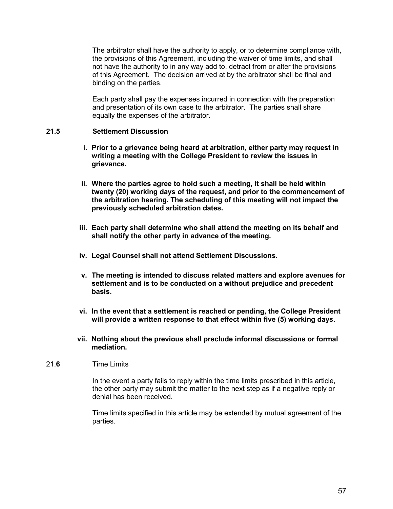The arbitrator shall have the authority to apply, or to determine compliance with, the provisions of this Agreement, including the waiver of time limits, and shall not have the authority to in any way add to, detract from or alter the provisions of this Agreement. The decision arrived at by the arbitrator shall be final and binding on the parties.

Each party shall pay the expenses incurred in connection with the preparation and presentation of its own case to the arbitrator. The parties shall share equally the expenses of the arbitrator.

## **21.5 Settlement Discussion**

- **i. Prior to a grievance being heard at arbitration, either party may request in writing a meeting with the College President to review the issues in grievance.**
- **ii. Where the parties agree to hold such a meeting, it shall be held within twenty (20) working days of the request, and prior to the commencement of the arbitration hearing. The scheduling of this meeting will not impact the previously scheduled arbitration dates.**
- **iii. Each party shall determine who shall attend the meeting on its behalf and shall notify the other party in advance of the meeting.**
- **iv. Legal Counsel shall not attend Settlement Discussions.**
- **v. The meeting is intended to discuss related matters and explore avenues for settlement and is to be conducted on a without prejudice and precedent basis.**
- **vi. In the event that a settlement is reached or pending, the College President will provide a written response to that effect within five (5) working days.**
- **vii. Nothing about the previous shall preclude informal discussions or formal mediation.**

## 21.**6** Time Limits

In the event a party fails to reply within the time limits prescribed in this article, the other party may submit the matter to the next step as if a negative reply or denial has been received.

Time limits specified in this article may be extended by mutual agreement of the parties.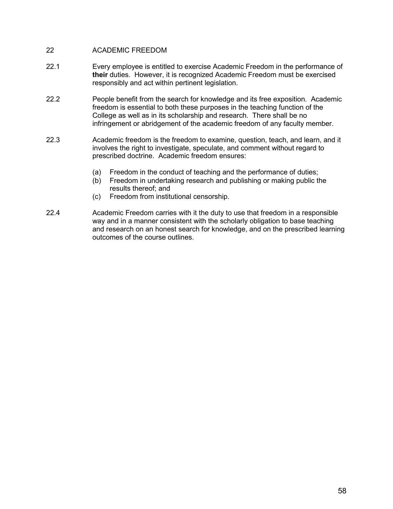## 22 ACADEMIC FREEDOM

- 22.1 Every employee is entitled to exercise Academic Freedom in the performance of **their** duties. However, it is recognized Academic Freedom must be exercised responsibly and act within pertinent legislation.
- 22.2 People benefit from the search for knowledge and its free exposition. Academic freedom is essential to both these purposes in the teaching function of the College as well as in its scholarship and research. There shall be no infringement or abridgement of the academic freedom of any faculty member.
- 22.3 Academic freedom is the freedom to examine, question, teach, and learn, and it involves the right to investigate, speculate, and comment without regard to prescribed doctrine. Academic freedom ensures:
	- (a) Freedom in the conduct of teaching and the performance of duties;
	- (b) Freedom in undertaking research and publishing or making public the results thereof; and
	- (c) Freedom from institutional censorship.
- 22.4 Academic Freedom carries with it the duty to use that freedom in a responsible way and in a manner consistent with the scholarly obligation to base teaching and research on an honest search for knowledge, and on the prescribed learning outcomes of the course outlines.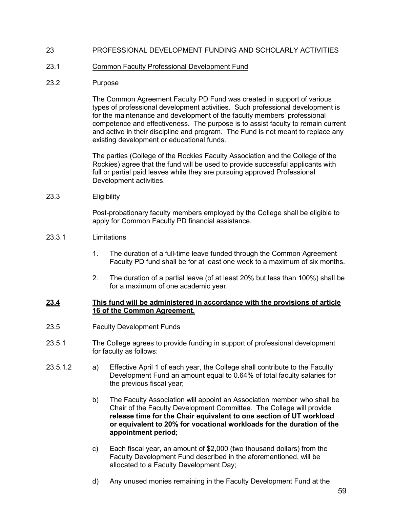## 23 PROFESSIONAL DEVELOPMENT FUNDING AND SCHOLARLY ACTIVITIES

#### 23.1 Common Faculty Professional Development Fund

#### 23.2 Purpose

The Common Agreement Faculty PD Fund was created in support of various types of professional development activities. Such professional development is for the maintenance and development of the faculty members' professional competence and effectiveness. The purpose is to assist faculty to remain current and active in their discipline and program. The Fund is not meant to replace any existing development or educational funds.

The parties (College of the Rockies Faculty Association and the College of the Rockies) agree that the fund will be used to provide successful applicants with full or partial paid leaves while they are pursuing approved Professional Development activities.

23.3 Eligibility

Post-probationary faculty members employed by the College shall be eligible to apply for Common Faculty PD financial assistance.

### 23.3.1 Limitations

- 1. The duration of a full-time leave funded through the Common Agreement Faculty PD fund shall be for at least one week to a maximum of six months.
- 2. The duration of a partial leave (of at least 20% but less than 100%) shall be for a maximum of one academic year.

#### **23.4 This fund will be administered in accordance with the provisions of article 16 of the Common Agreement.**

- 23.5 Faculty Development Funds
- 23.5.1 The College agrees to provide funding in support of professional development for faculty as follows:
- 23.5.1.2 a) Effective April 1 of each year, the College shall contribute to the Faculty Development Fund an amount equal to 0.64% of total faculty salaries for the previous fiscal year;
	- b) The Faculty Association will appoint an Association member who shall be Chair of the Faculty Development Committee. The College will provide **release time for the Chair equivalent to one section of UT workload or equivalent to 20% for vocational workloads for the duration of the appointment period**;
	- c) Each fiscal year, an amount of \$2,000 (two thousand dollars) from the Faculty Development Fund described in the aforementioned, will be allocated to a Faculty Development Day;
	- d) Any unused monies remaining in the Faculty Development Fund at the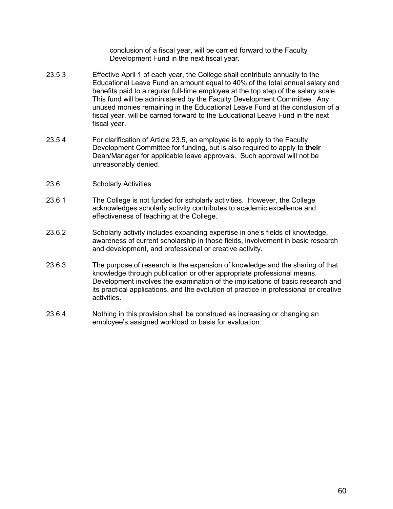conclusion of a fiscal year, will be carried forward to the Faculty Development Fund in the next fiscal year.

- 23.5.3 Effective April 1 of each year, the College shall contribute annually to the Educational Leave Fund an amount equal to 40% of the total annual salary and benefits paid to a regular full-time employee at the top step of the salary scale. This fund will be administered by the Faculty Development Committee. Any unused monies remaining in the Educational Leave Fund at the conclusion of a fiscal year, will be carried forward to the Educational Leave Fund in the next fiscal year.
- 23.5.4 For clarification of Article 23.5, an employee is to apply to the Faculty Development Committee for funding, but is also required to apply to **their** Dean/Manager for applicable leave approvals. Such approval will not be unreasonably denied.
- 23.6 Scholarly Activities
- 23.6.1 The College is not funded for scholarly activities. However, the College acknowledges scholarly activity contributes to academic excellence and effectiveness of teaching at the College.
- 23.6.2 Scholarly activity includes expanding expertise in one's fields of knowledge, awareness of current scholarship in those fields, involvement in basic research and development, and professional or creative activity.
- 23.6.3 The purpose of research is the expansion of knowledge and the sharing of that knowledge through publication or other appropriate professional means. Development involves the examination of the implications of basic research and its practical applications, and the evolution of practice in professional or creative activities.
- 23.6.4 Nothing in this provision shall be construed as increasing or changing an employee's assigned workload or basis for evaluation.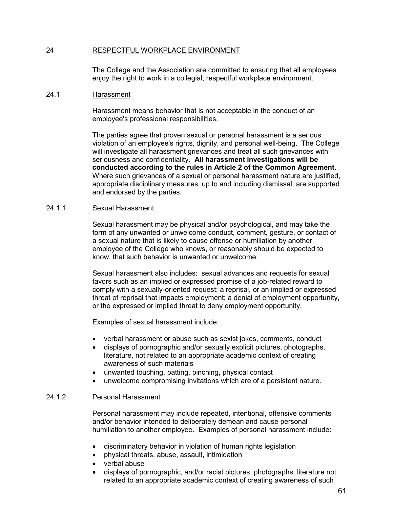## 24 RESPECTFUL WORKPLACE ENVIRONMENT

The College and the Association are committed to ensuring that all employees enjoy the right to work in a collegial, respectful workplace environment.

#### 24.1 Harassment

Harassment means behavior that is not acceptable in the conduct of an employee's professional responsibilities.

The parties agree that proven sexual or personal harassment is a serious violation of an employee's rights, dignity, and personal well-being. The College will investigate all harassment grievances and treat all such grievances with seriousness and confidentiality. **All harassment investigations will be conducted according to the rules in Article 2 of the Common Agreement.** Where such grievances of a sexual or personal harassment nature are justified, appropriate disciplinary measures, up to and including dismissal, are supported and endorsed by the parties.

#### 24.1.1 Sexual Harassment

Sexual harassment may be physical and/or psychological, and may take the form of any unwanted or unwelcome conduct, comment, gesture, or contact of a sexual nature that is likely to cause offense or humiliation by another employee of the College who knows, or reasonably should be expected to know, that such behavior is unwanted or unwelcome.

Sexual harassment also includes: sexual advances and requests for sexual favors such as an implied or expressed promise of a job-related reward to comply with a sexually-oriented request; a reprisal, or an implied or expressed threat of reprisal that impacts employment; a denial of employment opportunity, or the expressed or implied threat to deny employment opportunity.

Examples of sexual harassment include:

- verbal harassment or abuse such as sexist jokes, comments, conduct
- displays of pornographic and/or sexually explicit pictures, photographs, literature, not related to an appropriate academic context of creating awareness of such materials
- unwanted touching, patting, pinching, physical contact
- unwelcome compromising invitations which are of a persistent nature.

## 24.1.2 Personal Harassment

Personal harassment may include repeated, intentional, offensive comments and/or behavior intended to deliberately demean and cause personal humiliation to another employee. Examples of personal harassment include:

- discriminatory behavior in violation of human rights legislation
- physical threats, abuse, assault, intimidation
- verbal abuse
- displays of pornographic, and/or racist pictures, photographs, literature not related to an appropriate academic context of creating awareness of such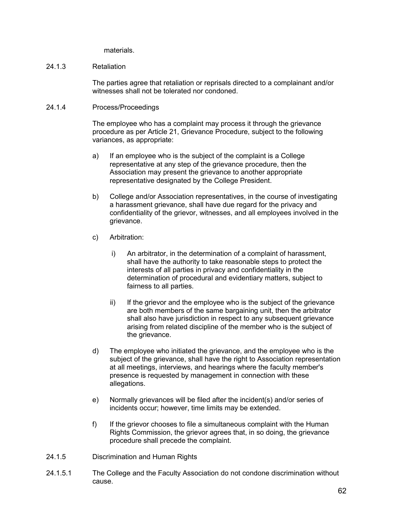materials.

#### 24.1.3 Retaliation

The parties agree that retaliation or reprisals directed to a complainant and/or witnesses shall not be tolerated nor condoned.

#### 24.1.4 Process/Proceedings

The employee who has a complaint may process it through the grievance procedure as per Article 21, Grievance Procedure, subject to the following variances, as appropriate:

- a) If an employee who is the subject of the complaint is a College representative at any step of the grievance procedure, then the Association may present the grievance to another appropriate representative designated by the College President.
- b) College and/or Association representatives, in the course of investigating a harassment grievance, shall have due regard for the privacy and confidentiality of the grievor, witnesses, and all employees involved in the grievance.
- c) Arbitration:
	- i) An arbitrator, in the determination of a complaint of harassment, shall have the authority to take reasonable steps to protect the interests of all parties in privacy and confidentiality in the determination of procedural and evidentiary matters, subject to fairness to all parties.
	- ii) If the grievor and the employee who is the subject of the grievance are both members of the same bargaining unit, then the arbitrator shall also have jurisdiction in respect to any subsequent grievance arising from related discipline of the member who is the subject of the grievance.
- d) The employee who initiated the grievance, and the employee who is the subject of the grievance, shall have the right to Association representation at all meetings, interviews, and hearings where the faculty member's presence is requested by management in connection with these allegations.
- e) Normally grievances will be filed after the incident(s) and/or series of incidents occur; however, time limits may be extended.
- f) If the grievor chooses to file a simultaneous complaint with the Human Rights Commission, the grievor agrees that, in so doing, the grievance procedure shall precede the complaint.
- 24.1.5 Discrimination and Human Rights
- 24.1.5.1 The College and the Faculty Association do not condone discrimination without cause.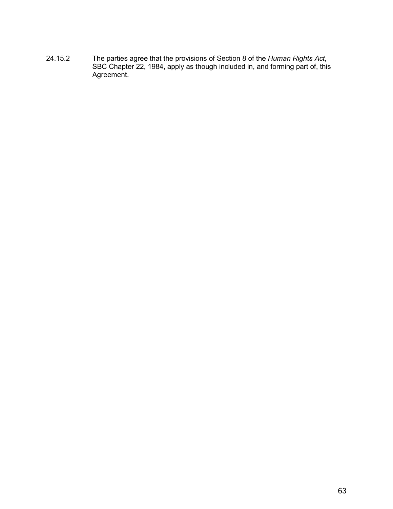24.15.2 The parties agree that the provisions of Section 8 of the *Human Rights Act*, SBC Chapter 22, 1984, apply as though included in, and forming part of, this Agreement.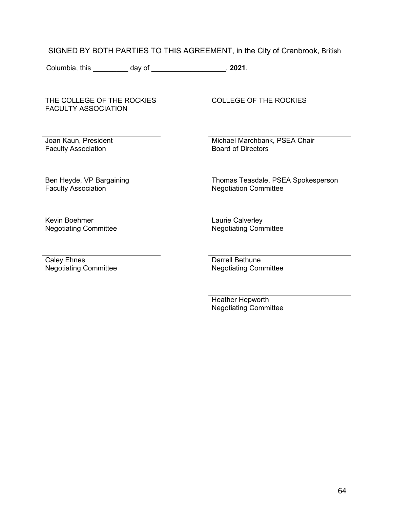## SIGNED BY BOTH PARTIES TO THIS AGREEMENT, in the City of Cranbrook, British

Columbia, this \_\_\_\_\_\_\_\_\_ day of \_\_\_\_\_\_\_\_\_\_\_\_\_\_\_\_\_\_\_, **2021**.

THE COLLEGE OF THE ROCKIES FACULTY ASSOCIATION

Joan Kaun, President Faculty Association

COLLEGE OF THE ROCKIES

Michael Marchbank, PSEA Chair Board of Directors

Ben Heyde, VP Bargaining Faculty Association

Thomas Teasdale, PSEA Spokesperson Negotiation Committee

Kevin Boehmer Negotiating Committee Laurie Calverley Negotiating Committee

Caley Ehnes Negotiating Committee

Darrell Bethune Negotiating Committee

Heather Hepworth Negotiating Committee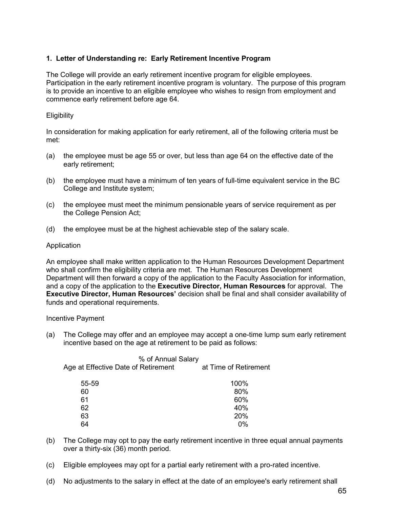## **1. Letter of Understanding re: Early Retirement Incentive Program**

The College will provide an early retirement incentive program for eligible employees. Participation in the early retirement incentive program is voluntary. The purpose of this program is to provide an incentive to an eligible employee who wishes to resign from employment and commence early retirement before age 64.

## **Eligibility**

In consideration for making application for early retirement, all of the following criteria must be met:

- (a) the employee must be age 55 or over, but less than age 64 on the effective date of the early retirement;
- (b) the employee must have a minimum of ten years of full-time equivalent service in the BC College and Institute system;
- (c) the employee must meet the minimum pensionable years of service requirement as per the College Pension Act;
- (d) the employee must be at the highest achievable step of the salary scale.

## Application

An employee shall make written application to the Human Resources Development Department who shall confirm the eligibility criteria are met. The Human Resources Development Department will then forward a copy of the application to the Faculty Association for information, and a copy of the application to the **Executive Director, Human Resources** for approval. The **Executive Director, Human Resources'** decision shall be final and shall consider availability of funds and operational requirements.

#### Incentive Payment

(a) The College may offer and an employee may accept a one-time lump sum early retirement incentive based on the age at retirement to be paid as follows:

| Age at Effective Date of Retirement | % of Annual Salary | at Time of Retirement |
|-------------------------------------|--------------------|-----------------------|
| 55-59                               |                    | 100%                  |
| 60                                  |                    | 80%                   |
| 61                                  |                    | 60%                   |
| 62                                  |                    | 40%                   |
| 63                                  |                    | 20%                   |
|                                     |                    | 0%                    |
|                                     |                    |                       |

- (b) The College may opt to pay the early retirement incentive in three equal annual payments over a thirty-six (36) month period.
- (c) Eligible employees may opt for a partial early retirement with a pro-rated incentive.
- (d) No adjustments to the salary in effect at the date of an employee's early retirement shall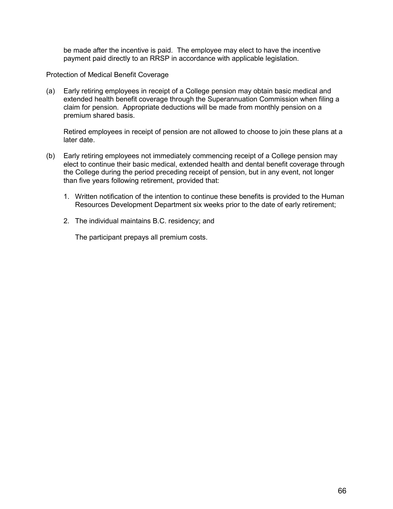be made after the incentive is paid. The employee may elect to have the incentive payment paid directly to an RRSP in accordance with applicable legislation.

Protection of Medical Benefit Coverage

(a) Early retiring employees in receipt of a College pension may obtain basic medical and extended health benefit coverage through the Superannuation Commission when filing a claim for pension. Appropriate deductions will be made from monthly pension on a premium shared basis.

Retired employees in receipt of pension are not allowed to choose to join these plans at a later date.

- (b) Early retiring employees not immediately commencing receipt of a College pension may elect to continue their basic medical, extended health and dental benefit coverage through the College during the period preceding receipt of pension, but in any event, not longer than five years following retirement, provided that:
	- 1. Written notification of the intention to continue these benefits is provided to the Human Resources Development Department six weeks prior to the date of early retirement;
	- 2. The individual maintains B.C. residency; and

The participant prepays all premium costs.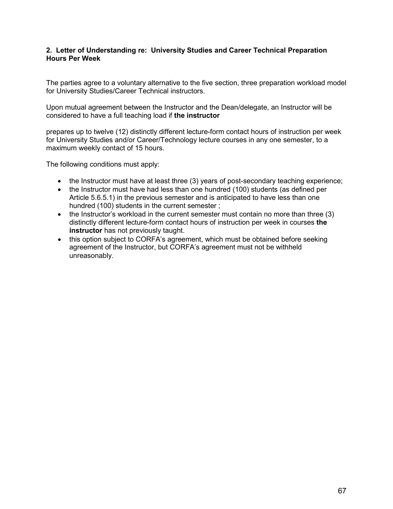## **2. Letter of Understanding re: University Studies and Career Technical Preparation Hours Per Week**

The parties agree to a voluntary alternative to the five section, three preparation workload model for University Studies/Career Technical instructors.

Upon mutual agreement between the Instructor and the Dean/delegate, an Instructor will be considered to have a full teaching load if **the instructor**

prepares up to twelve (12) distinctly different lecture-form contact hours of instruction per week for University Studies and/or Career/Technology lecture courses in any one semester, to a maximum weekly contact of 15 hours.

The following conditions must apply:

- the Instructor must have at least three (3) years of post-secondary teaching experience;
- the Instructor must have had less than one hundred (100) students (as defined per Article 5.6.5.1) in the previous semester and is anticipated to have less than one hundred (100) students in the current semester ;
- the Instructor's workload in the current semester must contain no more than three (3) distinctly different lecture-form contact hours of instruction per week in courses **the instructor** has not previously taught.
- this option subject to CORFA's agreement, which must be obtained before seeking agreement of the Instructor, but CORFA's agreement must not be withheld unreasonably.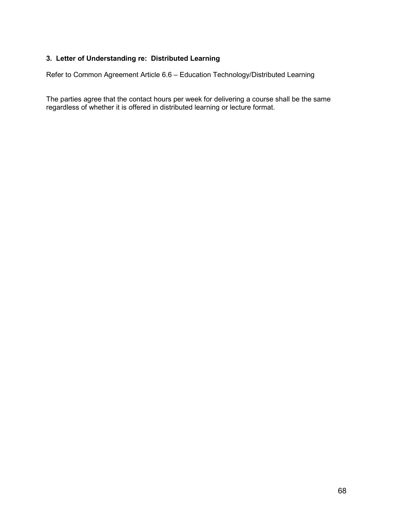# **3. Letter of Understanding re: Distributed Learning**

Refer to Common Agreement Article 6.6 – Education Technology/Distributed Learning

The parties agree that the contact hours per week for delivering a course shall be the same regardless of whether it is offered in distributed learning or lecture format.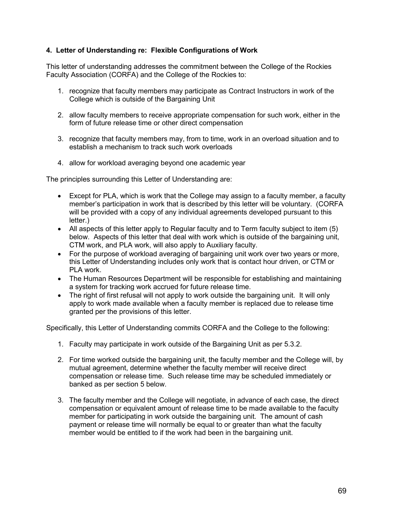## **4. Letter of Understanding re: Flexible Configurations of Work**

This letter of understanding addresses the commitment between the College of the Rockies Faculty Association (CORFA) and the College of the Rockies to:

- 1. recognize that faculty members may participate as Contract Instructors in work of the College which is outside of the Bargaining Unit
- 2. allow faculty members to receive appropriate compensation for such work, either in the form of future release time or other direct compensation
- 3. recognize that faculty members may, from to time, work in an overload situation and to establish a mechanism to track such work overloads
- 4. allow for workload averaging beyond one academic year

The principles surrounding this Letter of Understanding are:

- Except for PLA, which is work that the College may assign to a faculty member, a faculty member's participation in work that is described by this letter will be voluntary. (CORFA will be provided with a copy of any individual agreements developed pursuant to this letter.)
- All aspects of this letter apply to Regular faculty and to Term faculty subject to item (5) below. Aspects of this letter that deal with work which is outside of the bargaining unit, CTM work, and PLA work, will also apply to Auxiliary faculty.
- For the purpose of workload averaging of bargaining unit work over two years or more, this Letter of Understanding includes only work that is contact hour driven, or CTM or PLA work.
- The Human Resources Department will be responsible for establishing and maintaining a system for tracking work accrued for future release time.
- The right of first refusal will not apply to work outside the bargaining unit. It will only apply to work made available when a faculty member is replaced due to release time granted per the provisions of this letter.

Specifically, this Letter of Understanding commits CORFA and the College to the following:

- 1. Faculty may participate in work outside of the Bargaining Unit as per 5.3.2.
- 2. For time worked outside the bargaining unit, the faculty member and the College will, by mutual agreement, determine whether the faculty member will receive direct compensation or release time. Such release time may be scheduled immediately or banked as per section 5 below.
- 3. The faculty member and the College will negotiate, in advance of each case, the direct compensation or equivalent amount of release time to be made available to the faculty member for participating in work outside the bargaining unit. The amount of cash payment or release time will normally be equal to or greater than what the faculty member would be entitled to if the work had been in the bargaining unit.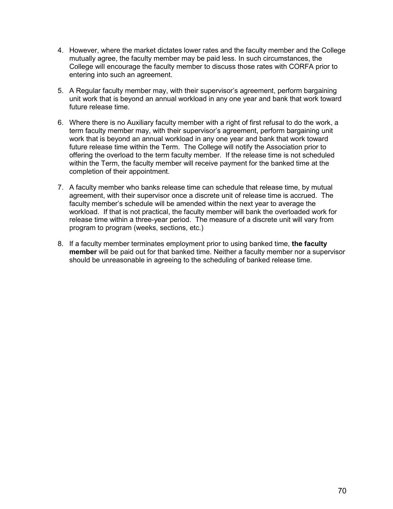- 4. However, where the market dictates lower rates and the faculty member and the College mutually agree, the faculty member may be paid less. In such circumstances, the College will encourage the faculty member to discuss those rates with CORFA prior to entering into such an agreement.
- 5. A Regular faculty member may, with their supervisor's agreement, perform bargaining unit work that is beyond an annual workload in any one year and bank that work toward future release time.
- 6. Where there is no Auxiliary faculty member with a right of first refusal to do the work, a term faculty member may, with their supervisor's agreement, perform bargaining unit work that is beyond an annual workload in any one year and bank that work toward future release time within the Term. The College will notify the Association prior to offering the overload to the term faculty member. If the release time is not scheduled within the Term, the faculty member will receive payment for the banked time at the completion of their appointment.
- 7. A faculty member who banks release time can schedule that release time, by mutual agreement, with their supervisor once a discrete unit of release time is accrued. The faculty member's schedule will be amended within the next year to average the workload. If that is not practical, the faculty member will bank the overloaded work for release time within a three-year period. The measure of a discrete unit will vary from program to program (weeks, sections, etc.)
- 8. If a faculty member terminates employment prior to using banked time, **the faculty member** will be paid out for that banked time. Neither a faculty member nor a supervisor should be unreasonable in agreeing to the scheduling of banked release time.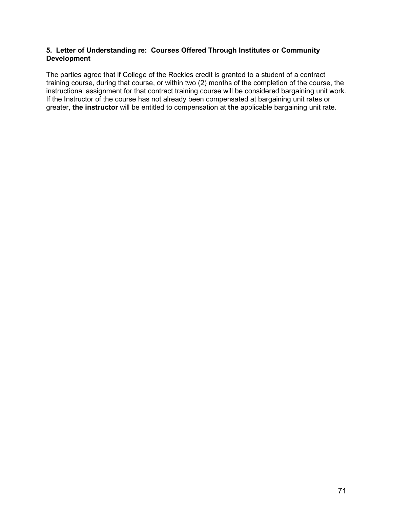### **5. Letter of Understanding re: Courses Offered Through Institutes or Community Development**

The parties agree that if College of the Rockies credit is granted to a student of a contract training course, during that course, or within two (2) months of the completion of the course, the instructional assignment for that contract training course will be considered bargaining unit work. If the Instructor of the course has not already been compensated at bargaining unit rates or greater, **the instructor** will be entitled to compensation at **the** applicable bargaining unit rate.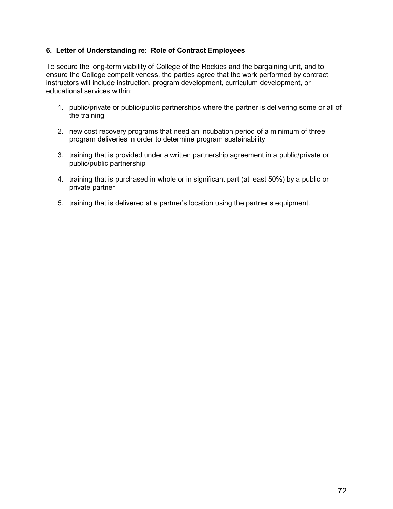### **6. Letter of Understanding re: Role of Contract Employees**

To secure the long-term viability of College of the Rockies and the bargaining unit, and to ensure the College competitiveness, the parties agree that the work performed by contract instructors will include instruction, program development, curriculum development, or educational services within:

- 1. public/private or public/public partnerships where the partner is delivering some or all of the training
- 2. new cost recovery programs that need an incubation period of a minimum of three program deliveries in order to determine program sustainability
- 3. training that is provided under a written partnership agreement in a public/private or public/public partnership
- 4. training that is purchased in whole or in significant part (at least 50%) by a public or private partner
- 5. training that is delivered at a partner's location using the partner's equipment.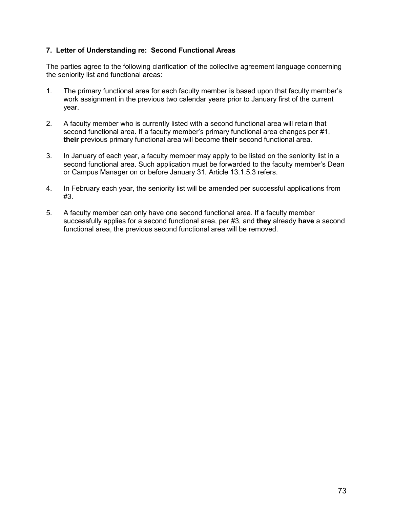## **7. Letter of Understanding re: Second Functional Areas**

The parties agree to the following clarification of the collective agreement language concerning the seniority list and functional areas:

- 1. The primary functional area for each faculty member is based upon that faculty member's work assignment in the previous two calendar years prior to January first of the current year.
- 2. A faculty member who is currently listed with a second functional area will retain that second functional area. If a faculty member's primary functional area changes per #1, **their** previous primary functional area will become **their** second functional area.
- 3. In January of each year, a faculty member may apply to be listed on the seniority list in a second functional area. Such application must be forwarded to the faculty member's Dean or Campus Manager on or before January 31. Article 13.1.5.3 refers.
- 4. In February each year, the seniority list will be amended per successful applications from #3.
- 5. A faculty member can only have one second functional area. If a faculty member successfully applies for a second functional area, per #3, and **they** already **have** a second functional area, the previous second functional area will be removed.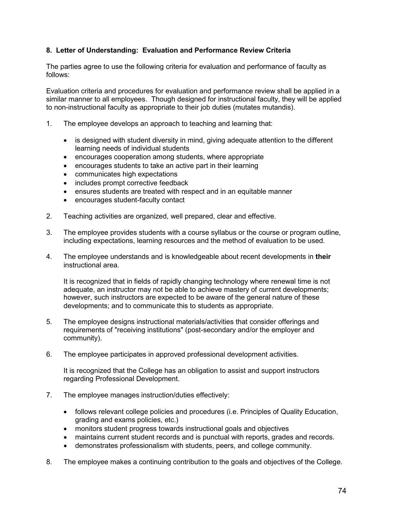# **8. Letter of Understanding: Evaluation and Performance Review Criteria**

The parties agree to use the following criteria for evaluation and performance of faculty as follows:

Evaluation criteria and procedures for evaluation and performance review shall be applied in a similar manner to all employees. Though designed for instructional faculty, they will be applied to non-instructional faculty as appropriate to their job duties (mutates mutandis).

- 1. The employee develops an approach to teaching and learning that:
	- is designed with student diversity in mind, giving adequate attention to the different learning needs of individual students
	- encourages cooperation among students, where appropriate
	- encourages students to take an active part in their learning
	- communicates high expectations
	- includes prompt corrective feedback
	- ensures students are treated with respect and in an equitable manner
	- encourages student-faculty contact
- 2. Teaching activities are organized, well prepared, clear and effective.
- 3. The employee provides students with a course syllabus or the course or program outline, including expectations, learning resources and the method of evaluation to be used.
- 4. The employee understands and is knowledgeable about recent developments in **their** instructional area.

It is recognized that in fields of rapidly changing technology where renewal time is not adequate, an instructor may not be able to achieve mastery of current developments; however, such instructors are expected to be aware of the general nature of these developments; and to communicate this to students as appropriate.

- 5. The employee designs instructional materials/activities that consider offerings and requirements of "receiving institutions" (post-secondary and/or the employer and community).
- 6. The employee participates in approved professional development activities.

It is recognized that the College has an obligation to assist and support instructors regarding Professional Development.

- 7. The employee manages instruction/duties effectively:
	- follows relevant college policies and procedures (i.e. Principles of Quality Education, grading and exams policies, etc.)
	- monitors student progress towards instructional goals and objectives
	- maintains current student records and is punctual with reports, grades and records.
	- demonstrates professionalism with students, peers, and college community.
- 8. The employee makes a continuing contribution to the goals and objectives of the College.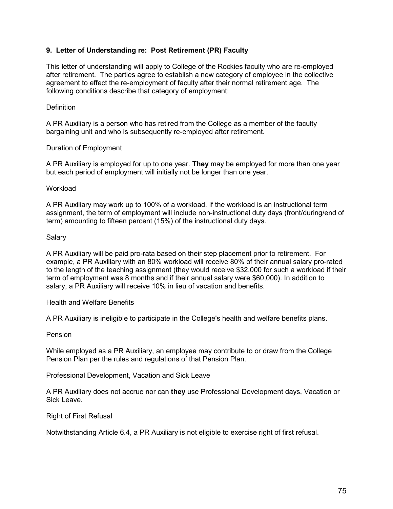## **9. Letter of Understanding re: Post Retirement (PR) Faculty**

This letter of understanding will apply to College of the Rockies faculty who are re-employed after retirement. The parties agree to establish a new category of employee in the collective agreement to effect the re-employment of faculty after their normal retirement age. The following conditions describe that category of employment:

#### **Definition**

A PR Auxiliary is a person who has retired from the College as a member of the faculty bargaining unit and who is subsequently re-employed after retirement.

#### Duration of Employment

A PR Auxiliary is employed for up to one year. **They** may be employed for more than one year but each period of employment will initially not be longer than one year.

#### **Workload**

A PR Auxiliary may work up to 100% of a workload. If the workload is an instructional term assignment, the term of employment will include non-instructional duty days (front/during/end of term) amounting to fifteen percent (15%) of the instructional duty days.

#### Salary

A PR Auxiliary will be paid pro-rata based on their step placement prior to retirement. For example, a PR Auxiliary with an 80% workload will receive 80% of their annual salary pro-rated to the length of the teaching assignment (they would receive \$32,000 for such a workload if their term of employment was 8 months and if their annual salary were \$60,000). In addition to salary, a PR Auxiliary will receive 10% in lieu of vacation and benefits.

Health and Welfare Benefits

A PR Auxiliary is ineligible to participate in the College's health and welfare benefits plans.

#### Pension

While employed as a PR Auxiliary, an employee may contribute to or draw from the College Pension Plan per the rules and regulations of that Pension Plan.

Professional Development, Vacation and Sick Leave

A PR Auxiliary does not accrue nor can **they** use Professional Development days, Vacation or Sick Leave.

Right of First Refusal

Notwithstanding Article 6.4, a PR Auxiliary is not eligible to exercise right of first refusal.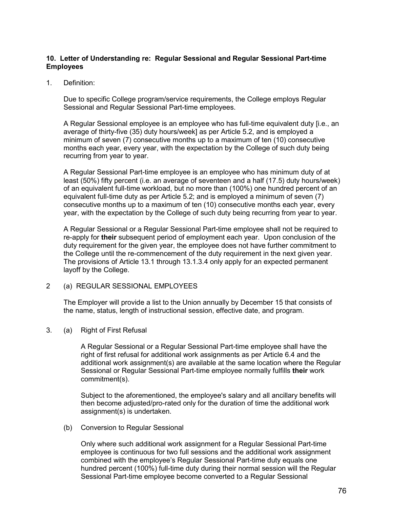### **10. Letter of Understanding re: Regular Sessional and Regular Sessional Part-time Employees**

1. Definition:

Due to specific College program/service requirements, the College employs Regular Sessional and Regular Sessional Part-time employees.

A Regular Sessional employee is an employee who has full-time equivalent duty [i.e., an average of thirty-five (35) duty hours/week] as per Article 5.2, and is employed a minimum of seven (7) consecutive months up to a maximum of ten (10) consecutive months each year, every year, with the expectation by the College of such duty being recurring from year to year.

A Regular Sessional Part-time employee is an employee who has minimum duty of at least (50%) fifty percent (i.e. an average of seventeen and a half (17.5) duty hours/week) of an equivalent full-time workload, but no more than (100%) one hundred percent of an equivalent full-time duty as per Article 5.2; and is employed a minimum of seven (7) consecutive months up to a maximum of ten (10) consecutive months each year, every year, with the expectation by the College of such duty being recurring from year to year.

A Regular Sessional or a Regular Sessional Part-time employee shall not be required to re-apply for **their** subsequent period of employment each year. Upon conclusion of the duty requirement for the given year, the employee does not have further commitment to the College until the re-commencement of the duty requirement in the next given year. The provisions of Article 13.1 through 13.1.3.4 only apply for an expected permanent layoff by the College.

2 (a) REGULAR SESSIONAL EMPLOYEES

The Employer will provide a list to the Union annually by December 15 that consists of the name, status, length of instructional session, effective date, and program.

3. (a) Right of First Refusal

A Regular Sessional or a Regular Sessional Part-time employee shall have the right of first refusal for additional work assignments as per Article 6.4 and the additional work assignment(s) are available at the same location where the Regular Sessional or Regular Sessional Part-time employee normally fulfills **their** work commitment(s).

Subject to the aforementioned, the employee's salary and all ancillary benefits will then become adjusted/pro-rated only for the duration of time the additional work assignment(s) is undertaken.

(b) Conversion to Regular Sessional

Only where such additional work assignment for a Regular Sessional Part-time employee is continuous for two full sessions and the additional work assignment combined with the employee's Regular Sessional Part-time duty equals one hundred percent (100%) full-time duty during their normal session will the Regular Sessional Part-time employee become converted to a Regular Sessional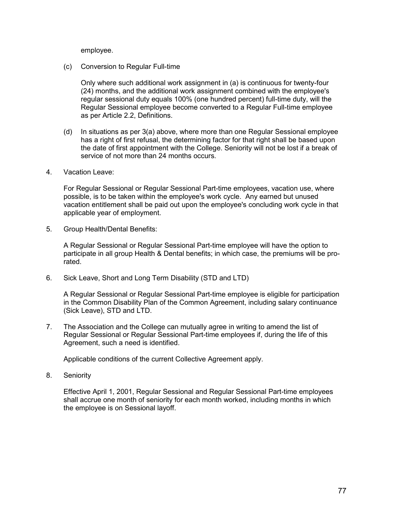employee.

(c) Conversion to Regular Full-time

Only where such additional work assignment in (a) is continuous for twenty-four (24) months, and the additional work assignment combined with the employee's regular sessional duty equals 100% (one hundred percent) full-time duty, will the Regular Sessional employee become converted to a Regular Full-time employee as per Article 2.2, Definitions.

- (d) In situations as per 3(a) above, where more than one Regular Sessional employee has a right of first refusal, the determining factor for that right shall be based upon the date of first appointment with the College. Seniority will not be lost if a break of service of not more than 24 months occurs.
- 4. Vacation Leave:

For Regular Sessional or Regular Sessional Part-time employees, vacation use, where possible, is to be taken within the employee's work cycle. Any earned but unused vacation entitlement shall be paid out upon the employee's concluding work cycle in that applicable year of employment.

5. Group Health/Dental Benefits:

A Regular Sessional or Regular Sessional Part-time employee will have the option to participate in all group Health & Dental benefits; in which case, the premiums will be prorated.

6. Sick Leave, Short and Long Term Disability (STD and LTD)

A Regular Sessional or Regular Sessional Part-time employee is eligible for participation in the Common Disability Plan of the Common Agreement, including salary continuance (Sick Leave), STD and LTD.

7. The Association and the College can mutually agree in writing to amend the list of Regular Sessional or Regular Sessional Part-time employees if, during the life of this Agreement, such a need is identified.

Applicable conditions of the current Collective Agreement apply.

8. Seniority

Effective April 1, 2001, Regular Sessional and Regular Sessional Part-time employees shall accrue one month of seniority for each month worked, including months in which the employee is on Sessional layoff.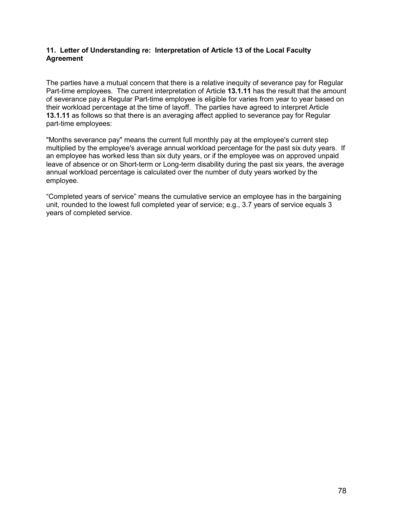### **11. Letter of Understanding re: Interpretation of Article 13 of the Local Faculty Agreement**

The parties have a mutual concern that there is a relative inequity of severance pay for Regular Part-time employees. The current interpretation of Article **13.1.11** has the result that the amount of severance pay a Regular Part-time employee is eligible for varies from year to year based on their workload percentage at the time of layoff. The parties have agreed to interpret Article **13.1.11** as follows so that there is an averaging affect applied to severance pay for Regular part-time employees:

"Months severance pay" means the current full monthly pay at the employee's current step multiplied by the employee's average annual workload percentage for the past six duty years. If an employee has worked less than six duty years, or if the employee was on approved unpaid leave of absence or on Short-term or Long-term disability during the past six years, the average annual workload percentage is calculated over the number of duty years worked by the employee.

"Completed years of service" means the cumulative service an employee has in the bargaining unit, rounded to the lowest full completed year of service; e.g., 3.7 years of service equals 3 years of completed service.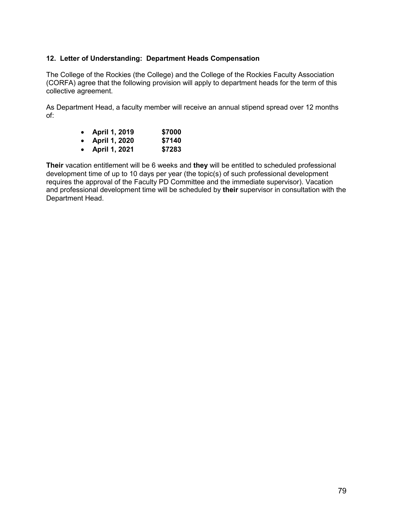## **12. Letter of Understanding: Department Heads Compensation**

The College of the Rockies (the College) and the College of the Rockies Faculty Association (CORFA) agree that the following provision will apply to department heads for the term of this collective agreement.

As Department Head, a faculty member will receive an annual stipend spread over 12 months of:

| $\bullet$ | April 1, 2019 | \$7000 |
|-----------|---------------|--------|
| $\bullet$ | April 1, 2020 | \$7140 |
| $\bullet$ | April 1, 2021 | \$7283 |

**Their** vacation entitlement will be 6 weeks and **they** will be entitled to scheduled professional development time of up to 10 days per year (the topic(s) of such professional development requires the approval of the Faculty PD Committee and the immediate supervisor). Vacation and professional development time will be scheduled by **their** supervisor in consultation with the Department Head.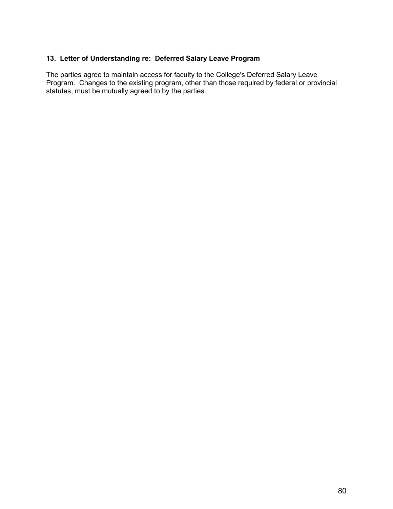# **13. Letter of Understanding re: Deferred Salary Leave Program**

The parties agree to maintain access for faculty to the College's Deferred Salary Leave Program. Changes to the existing program, other than those required by federal or provincial statutes, must be mutually agreed to by the parties.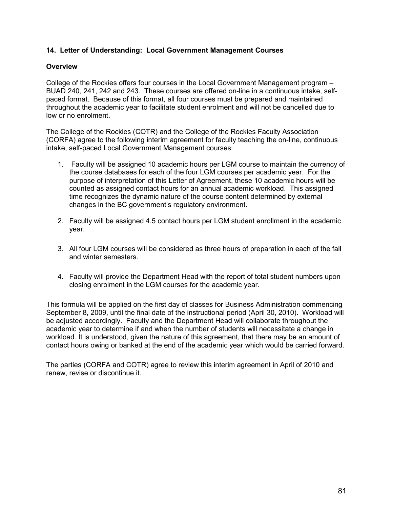## **14. Letter of Understanding: Local Government Management Courses**

#### **Overview**

College of the Rockies offers four courses in the Local Government Management program – BUAD 240, 241, 242 and 243. These courses are offered on-line in a continuous intake, selfpaced format. Because of this format, all four courses must be prepared and maintained throughout the academic year to facilitate student enrolment and will not be cancelled due to low or no enrolment.

The College of the Rockies (COTR) and the College of the Rockies Faculty Association (CORFA) agree to the following interim agreement for faculty teaching the on-line, continuous intake, self-paced Local Government Management courses:

- 1. Faculty will be assigned 10 academic hours per LGM course to maintain the currency of the course databases for each of the four LGM courses per academic year. For the purpose of interpretation of this Letter of Agreement, these 10 academic hours will be counted as assigned contact hours for an annual academic workload. This assigned time recognizes the dynamic nature of the course content determined by external changes in the BC government's regulatory environment.
- 2. Faculty will be assigned 4.5 contact hours per LGM student enrollment in the academic year.
- 3. All four LGM courses will be considered as three hours of preparation in each of the fall and winter semesters.
- 4. Faculty will provide the Department Head with the report of total student numbers upon closing enrolment in the LGM courses for the academic year.

This formula will be applied on the first day of classes for Business Administration commencing September 8, 2009, until the final date of the instructional period (April 30, 2010). Workload will be adjusted accordingly. Faculty and the Department Head will collaborate throughout the academic year to determine if and when the number of students will necessitate a change in workload. It is understood, given the nature of this agreement, that there may be an amount of contact hours owing or banked at the end of the academic year which would be carried forward.

The parties (CORFA and COTR) agree to review this interim agreement in April of 2010 and renew, revise or discontinue it.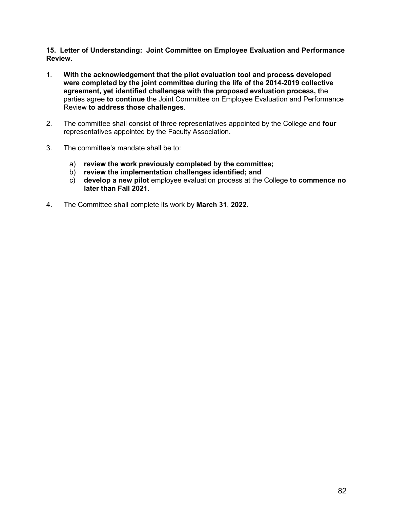**15. Letter of Understanding: Joint Committee on Employee Evaluation and Performance Review.**

- 1. **With the acknowledgement that the pilot evaluation tool and process developed were completed by the joint committee during the life of the 2014-2019 collective agreement, yet identified challenges with the proposed evaluation process, t**he parties agree **to continue** the Joint Committee on Employee Evaluation and Performance Review **to address those challenges**.
- 2. The committee shall consist of three representatives appointed by the College and **four** representatives appointed by the Faculty Association.
- 3. The committee's mandate shall be to:
	- a) **review the work previously completed by the committee;**
	- b) **review the implementation challenges identified; and**
	- c) **develop a new pilot** employee evaluation process at the College **to commence no later than Fall 2021**.
- 4. The Committee shall complete its work by **March 31**, **2022**.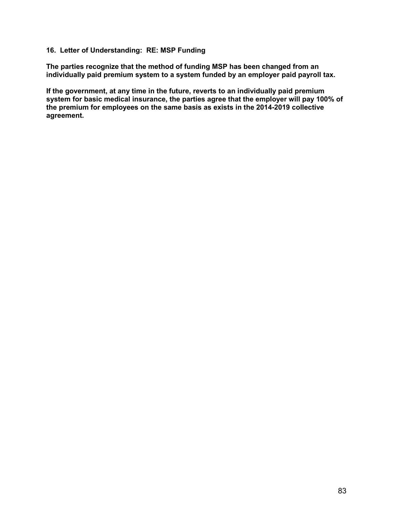#### **16. Letter of Understanding: RE: MSP Funding**

**The parties recognize that the method of funding MSP has been changed from an individually paid premium system to a system funded by an employer paid payroll tax.**

**If the government, at any time in the future, reverts to an individually paid premium system for basic medical insurance, the parties agree that the employer will pay 100% of the premium for employees on the same basis as exists in the 2014-2019 collective agreement.**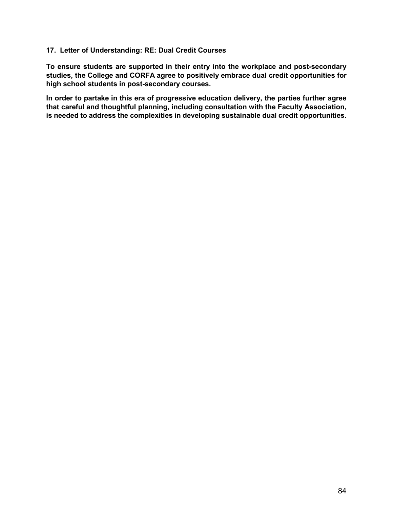### **17. Letter of Understanding: RE: Dual Credit Courses**

**To ensure students are supported in their entry into the workplace and post-secondary studies, the College and CORFA agree to positively embrace dual credit opportunities for high school students in post-secondary courses.**

**In order to partake in this era of progressive education delivery, the parties further agree that careful and thoughtful planning, including consultation with the Faculty Association, is needed to address the complexities in developing sustainable dual credit opportunities.**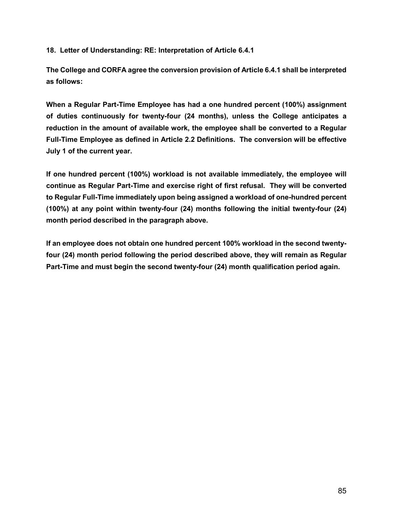**18. Letter of Understanding: RE: Interpretation of Article 6.4.1**

**The College and CORFA agree the conversion provision of Article 6.4.1 shall be interpreted as follows:**

**When a Regular Part-Time Employee has had a one hundred percent (100%) assignment of duties continuously for twenty-four (24 months), unless the College anticipates a reduction in the amount of available work, the employee shall be converted to a Regular Full-Time Employee as defined in Article 2.2 Definitions. The conversion will be effective July 1 of the current year.**

**If one hundred percent (100%) workload is not available immediately, the employee will continue as Regular Part-Time and exercise right of first refusal. They will be converted to Regular Full-Time immediately upon being assigned a workload of one-hundred percent (100%) at any point within twenty-four (24) months following the initial twenty-four (24) month period described in the paragraph above.**

**If an employee does not obtain one hundred percent 100% workload in the second twentyfour (24) month period following the period described above, they will remain as Regular Part-Time and must begin the second twenty-four (24) month qualification period again.**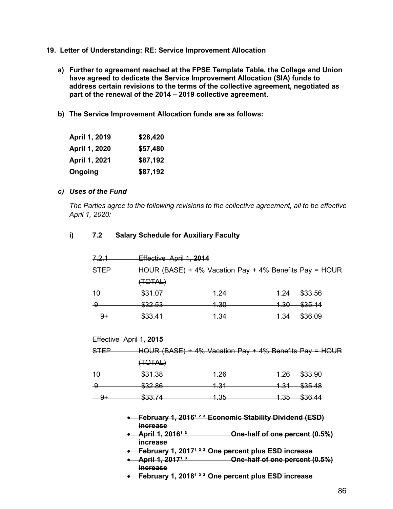- **19. Letter of Understanding: RE: Service Improvement Allocation**
	- **a) Further to agreement reached at the FPSE Template Table, the College and Union have agreed to dedicate the Service Improvement Allocation (SIA) funds to address certain revisions to the terms of the collective agreement, negotiated as part of the renewal of the 2014 – 2019 collective agreement.**
	- **b) The Service Improvement Allocation funds are as follows:**

| April 1, 2019 | \$28,420 |
|---------------|----------|
| April 1, 2020 | \$57,480 |
| April 1, 2021 | \$87,192 |
| Ongoing       | \$87,192 |

#### *c) Uses of the Fund*

*The Parties agree to the following revisions to the collective agreement, all to be effective April 1, 2020:* 

#### **i) 7.2 Salary Schedule for Auxiliary Faculty**

| (TOTAL)                                                                                                                                                         |                 |                         |                                                                                                                          |  |  |
|-----------------------------------------------------------------------------------------------------------------------------------------------------------------|-----------------|-------------------------|--------------------------------------------------------------------------------------------------------------------------|--|--|
| \$31.07                                                                                                                                                         | 1.24            | <u> 1.24 </u>           | \$33.56                                                                                                                  |  |  |
| \$32.53                                                                                                                                                         | <u> 1.30-</u>   | <u> 1.30 —</u>          | \$35.14                                                                                                                  |  |  |
| \$33.41                                                                                                                                                         | <u> 1.34 </u>   |                         | 1.34 \$36.09                                                                                                             |  |  |
|                                                                                                                                                                 |                 |                         |                                                                                                                          |  |  |
| Effective April 1, 2015                                                                                                                                         |                 |                         |                                                                                                                          |  |  |
|                                                                                                                                                                 |                 |                         |                                                                                                                          |  |  |
| (TOTAL)                                                                                                                                                         |                 |                         |                                                                                                                          |  |  |
| \$31.38                                                                                                                                                         | <u>1.26-</u>    |                         | 1.26 \$33.90                                                                                                             |  |  |
| \$32.86                                                                                                                                                         | <u> 1.31 -</u>  |                         | $1.31 - $35.48$                                                                                                          |  |  |
| \$33.74                                                                                                                                                         | <u> 1.35 - </u> |                         | $1.35 - $36.44$                                                                                                          |  |  |
| February 1, 2016 <sup>123</sup> Economic Stability Dividend (ESD)<br><i>increase</i><br><del>April 1, 2016<sup>13</sup></del><br>One-half of one percent (0.5%) |                 |                         |                                                                                                                          |  |  |
|                                                                                                                                                                 | <i>increase</i> | Effective April 1, 2014 | HOUR (BASE) $+$ 4% Vacation Pay $+$ 4% Benefits Pay = HOUR<br>HOUR (BASE) $+$ 4% Vacation Pay $+$ 4% Benefits Pay = HOUR |  |  |

- 
- February 1, 2017<sup>1 2 3</sup> One percent plus ESD increase<br>● April 1, 2017<sup>1 3</sup> One-half of one percent ( **4. One-half of one percent (0.5%) increase**
- **February 1, 2018<sup>123</sup> One percent plus ESD increase**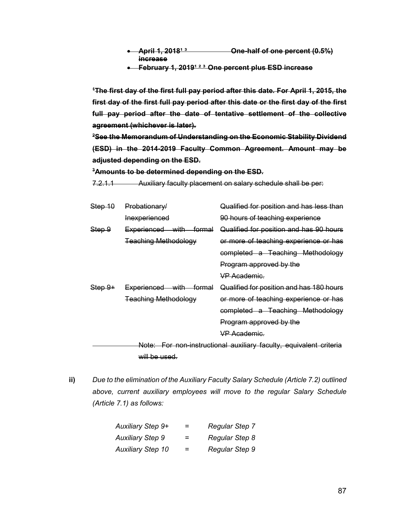- **•** April 1, 2018<sup>13</sup> **Che-half of one percent (0.5%) increase**
- **February 1, 2019<sup>1 2 3</sup> One percent plus ESD increase**

**1 The first day of the first full pay period after this date. For April 1, 2015, the first day of the first full pay period after this date or the first day of the first full pay period after the date of tentative settlement of the collective agreement (whichever is later).**

**2 See the Memorandum of Understanding on the Economic Stability Dividend (ESD) in the 2014-2019 Faculty Common Agreement. Amount may be adjusted depending on the ESD.** 

#### **3Amounts to be determined depending on the ESD.**

7.2.1.1 Auxiliary faculty placement on salary schedule shall be per:

| Step 10                                                            | Probationary/                         | Qualified for position and has less than |  |
|--------------------------------------------------------------------|---------------------------------------|------------------------------------------|--|
|                                                                    | Inexperienced                         | 90 hours of teaching experience          |  |
| <del>Step 9</del>                                                  | Experienced with formal               | Qualified for position and has 90 hours  |  |
|                                                                    | <b>Teaching Methodology</b>           | or more of teaching experience or has    |  |
|                                                                    |                                       | completed a Teaching Methodology         |  |
|                                                                    |                                       | Program approved by the                  |  |
|                                                                    |                                       | <b>VP Academic.</b>                      |  |
| $Step 9+$                                                          | Experienced with<br><del>formal</del> | Qualified for position and has 180 hours |  |
|                                                                    | <b>Teaching Methodology</b>           | or more of teaching experience or has    |  |
|                                                                    |                                       | completed a Teaching Methodology         |  |
|                                                                    |                                       | Program approved by the                  |  |
|                                                                    |                                       | <b>VP Academic.</b>                      |  |
| Note: For non-instructional auxiliary faculty, equivalent criteria |                                       |                                          |  |

will be used.

**ii)** *Due to the elimination of the Auxiliary Faculty Salary Schedule (Article 7.2) outlined above, current auxiliary employees will move to the regular Salary Schedule (Article 7.1) as follows:*

| Auxiliary Step 9+        | = | Regular Step 7        |
|--------------------------|---|-----------------------|
| <b>Auxiliary Step 9</b>  | = | Regular Step 8        |
| <b>Auxiliary Step 10</b> | = | <b>Regular Step 9</b> |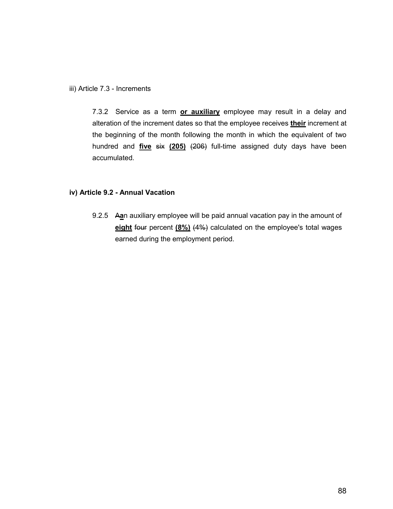iii) Article 7.3 - Increments

7.3.2 Service as a term **or auxiliary** employee may result in a delay and alteration of the increment dates so that the employee receives **their** increment at the beginning of the month following the month in which the equivalent of two hundred and **five** six **(205)** (206) full-time assigned duty days have been accumulated.

### **iv) Article 9.2 - Annual Vacation**

9.2.5 A**a**n auxiliary employee will be paid annual vacation pay in the amount of **eight** four percent **(8%)** (4%) calculated on the employee's total wages earned during the employment period.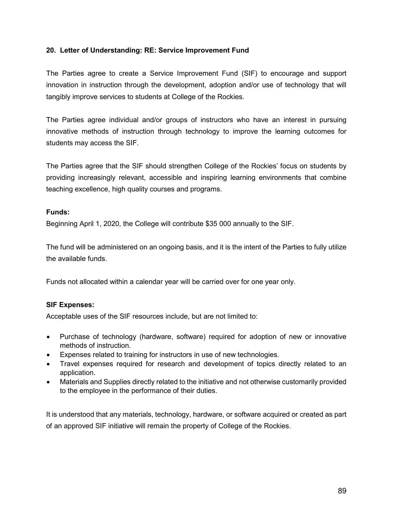### **20. Letter of Understanding: RE: Service Improvement Fund**

The Parties agree to create a Service Improvement Fund (SIF) to encourage and support innovation in instruction through the development, adoption and/or use of technology that will tangibly improve services to students at College of the Rockies.

The Parties agree individual and/or groups of instructors who have an interest in pursuing innovative methods of instruction through technology to improve the learning outcomes for students may access the SIF.

The Parties agree that the SIF should strengthen College of the Rockies' focus on students by providing increasingly relevant, accessible and inspiring learning environments that combine teaching excellence, high quality courses and programs.

### **Funds:**

Beginning April 1, 2020, the College will contribute \$35 000 annually to the SIF.

The fund will be administered on an ongoing basis, and it is the intent of the Parties to fully utilize the available funds.

Funds not allocated within a calendar year will be carried over for one year only.

# **SIF Expenses:**

Acceptable uses of the SIF resources include, but are not limited to:

- Purchase of technology (hardware, software) required for adoption of new or innovative methods of instruction.
- Expenses related to training for instructors in use of new technologies.
- Travel expenses required for research and development of topics directly related to an application.
- Materials and Supplies directly related to the initiative and not otherwise customarily provided to the employee in the performance of their duties.

It is understood that any materials, technology, hardware, or software acquired or created as part of an approved SIF initiative will remain the property of College of the Rockies.